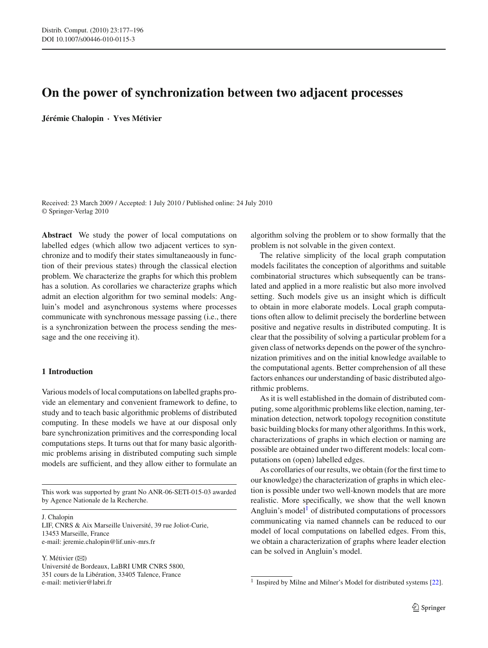# **On the power of synchronization between two adjacent processes**

**Jérémie Chalopin** · **Yves Métivier**

Received: 23 March 2009 / Accepted: 1 July 2010 / Published online: 24 July 2010 © Springer-Verlag 2010

**Abstract** We study the power of local computations on labelled edges (which allow two adjacent vertices to synchronize and to modify their states simultaneaously in function of their previous states) through the classical election problem. We characterize the graphs for which this problem has a solution. As corollaries we characterize graphs which admit an election algorithm for two seminal models: Angluin's model and asynchronous systems where processes communicate with synchronous message passing (i.e., there is a synchronization between the process sending the message and the one receiving it).

# **1 Introduction**

Various models of local computations on labelled graphs provide an elementary and convenient framework to define, to study and to teach basic algorithmic problems of distributed computing. In these models we have at our disposal only bare synchronization primitives and the corresponding local computations steps. It turns out that for many basic algorithmic problems arising in distributed computing such simple models are sufficient, and they allow either to formulate an

This work was supported by grant No ANR-06-SETI-015-03 awarded by Agence Nationale de la Recherche.

J. Chalopin

LIF, CNRS & Aix Marseille Université, 39 rue Joliot-Curie, 13453 Marseille, France e-mail: jeremie.chalopin@lif.univ-mrs.fr

Y. Métivier ( $\boxtimes$ )

Université de Bordeaux, LaBRI UMR CNRS 5800, 351 cours de la Libération, 33405 Talence, France e-mail: metivier@labri.fr

algorithm solving the problem or to show formally that the problem is not solvable in the given context.

The relative simplicity of the local graph computation models facilitates the conception of algorithms and suitable combinatorial structures which subsequently can be translated and applied in a more realistic but also more involved setting. Such models give us an insight which is difficult to obtain in more elaborate models. Local graph computations often allow to delimit precisely the borderline between positive and negative results in distributed computing. It is clear that the possibility of solving a particular problem for a given class of networks depends on the power of the synchronization primitives and on the initial knowledge available to the computational agents. Better comprehension of all these factors enhances our understanding of basic distributed algorithmic problems.

As it is well established in the domain of distributed computing, some algorithmic problems like election, naming, termination detection, network topology recognition constitute basic building blocks for many other algorithms. In this work, characterizations of graphs in which election or naming are possible are obtained under two different models: local computations on (open) labelled edges.

As corollaries of our results, we obtain (for the first time to our knowledge) the characterization of graphs in which election is possible under two well-known models that are more realistic. More specifically, we show that the well known Angluin's model $<sup>1</sup>$  of distributed computations of processors</sup> communicating via named channels can be reduced to our model of local computations on labelled edges. From this, we obtain a characterization of graphs where leader election can be solved in Angluin's model.

<span id="page-0-0"></span><sup>&</sup>lt;sup>1</sup> Inspired by Milne and Milner's Model for distributed systems [\[22\]](#page-19-0).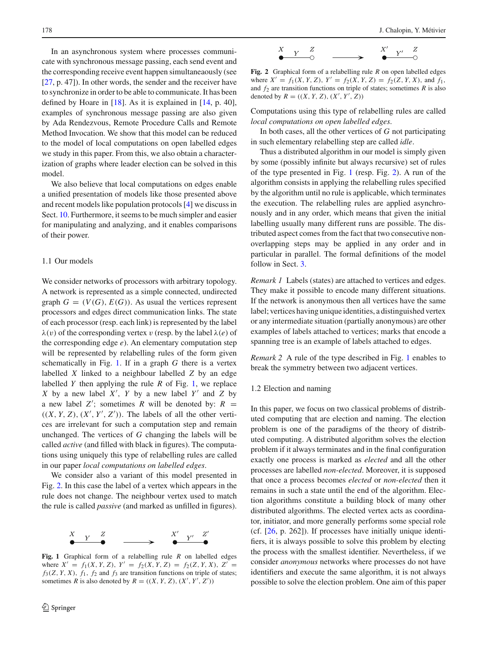In an asynchronous system where processes communicate with synchronous message passing, each send event and the corresponding receive event happen simultaneaously (see [\[27](#page-19-2), p. 47]). In other words, the sender and the receiver have to synchronize in order to be able to communicate. It has been defined by Hoare in [\[18\]](#page-19-3). As it is explained in [\[14,](#page-19-4) p. 40], examples of synchronous message passing are also given by Ada Rendezvous, Remote Procedure Calls and Remote Method Invocation. We show that this model can be reduced to the model of local computations on open labelled edges we study in this paper. From this, we also obtain a characterization of graphs where leader election can be solved in this model.

We also believe that local computations on edges enable a unified presentation of models like those presented above and recent models like population protocols [\[4](#page-18-0)] we discuss in Sect. [10.](#page-17-0) Furthermore, it seems to be much simpler and easier for manipulating and analyzing, and it enables comparisons of their power.

#### 1.1 Our models

We consider networks of processors with arbitrary topology. A network is represented as a simple connected, undirected graph  $G = (V(G), E(G))$ . As usual the vertices represent processors and edges direct communication links. The state of each processor (resp. each link) is represented by the label  $\lambda(v)$  of the corresponding vertex v (resp. by the label  $\lambda(e)$  of the corresponding edge *e*). An elementary computation step will be represented by relabelling rules of the form given schematically in Fig. [1.](#page-1-0) If in a graph *G* there is a vertex labelled *X* linked to a neighbour labelled *Z* by an edge labelled *Y* then applying the rule *R* of Fig. [1,](#page-1-0) we replace *X* by a new label *X*! , *Y* by a new label *Y* ! and *Z* by a new label  $Z'$ ; sometimes *R* will be denoted by:  $R =$  $((X, Y, Z), (X', Y', Z'))$ . The labels of all the other vertices are irrelevant for such a computation step and remain unchanged. The vertices of *G* changing the labels will be called *active* (and filled with black in figures). The computations using uniquely this type of relabelling rules are called in our paper *local computations on labelled edges*.

We consider also a variant of this model presented in Fig. [2.](#page-1-1) In this case the label of a vertex which appears in the rule does not change. The neighbour vertex used to match the rule is called *passive* (and marked as unfilled in figures).



<span id="page-1-0"></span>**Fig. 1** Graphical form of a relabelling rule *R* on labelled edges where  $X' = f_1(X, Y, Z), Y' = f_2(X, Y, Z) = f_2(Z, Y, X), Z' =$  $f_3(Z, Y, X)$ ,  $f_1$ ,  $f_2$  and  $f_3$  are transition functions on triple of states; sometimes *R* is also denoted by  $R = ((X, Y, Z), (X', Y', Z'))$ 



<span id="page-1-1"></span>**Fig. 2** Graphical form of a relabelling rule *R* on open labelled edges where  $X' = f_1(X, Y, Z)$ ,  $Y' = f_2(X, Y, Z) = f_2(Z, Y, X)$ , and  $f_1$ , and  $f_2$  are transition functions on triple of states; sometimes  $R$  is also denoted by  $R = ((X, Y, Z), (X', Y', Z))$ 

Computations using this type of relabelling rules are called *local computations on open labelled edges*.

In both cases, all the other vertices of *G* not participating in such elementary relabelling step are called *idle*.

Thus a distributed algorithm in our model is simply given by some (possibly infinite but always recursive) set of rules of the type presented in Fig. [1](#page-1-0) (resp. Fig. [2\)](#page-1-1). A run of the algorithm consists in applying the relabelling rules specified by the algorithm until no rule is applicable, which terminates the execution. The relabelling rules are applied asynchronously and in any order, which means that given the initial labelling usually many different runs are possible. The distributed aspect comes from the fact that two consecutive nonoverlapping steps may be applied in any order and in particular in parallel. The formal definitions of the model follow in Sect. [3.](#page-5-0)

*Remark 1* Labels (states) are attached to vertices and edges. They make it possible to encode many different situations. If the network is anonymous then all vertices have the same label; vertices having unique identities, a distinguished vertex or any intermediate situation (partially anonymous) are other examples of labels attached to vertices; marks that encode a spanning tree is an example of labels attached to edges.

*Remark 2* A rule of the type described in Fig. [1](#page-1-0) enables to break the symmetry between two adjacent vertices.

## 1.2 Election and naming

In this paper, we focus on two classical problems of distributed computing that are election and naming. The election problem is one of the paradigms of the theory of distributed computing. A distributed algorithm solves the election problem if it always terminates and in the final configuration exactly one process is marked as *elected* and all the other processes are labelled *non-elected*. Moreover, it is supposed that once a process becomes *elected* or *non-elected* then it remains in such a state until the end of the algorithm. Election algorithms constitute a building block of many other distributed algorithms. The elected vertex acts as coordinator, initiator, and more generally performs some special role (cf. [\[26](#page-19-1), p. 262]). If processes have initially unique identifiers, it is always possible to solve this problem by electing the process with the smallest identifier. Nevertheless, if we consider *anonymous* networks where processes do not have identifiers and execute the same algorithm, it is not always possible to solve the election problem. One aim of this paper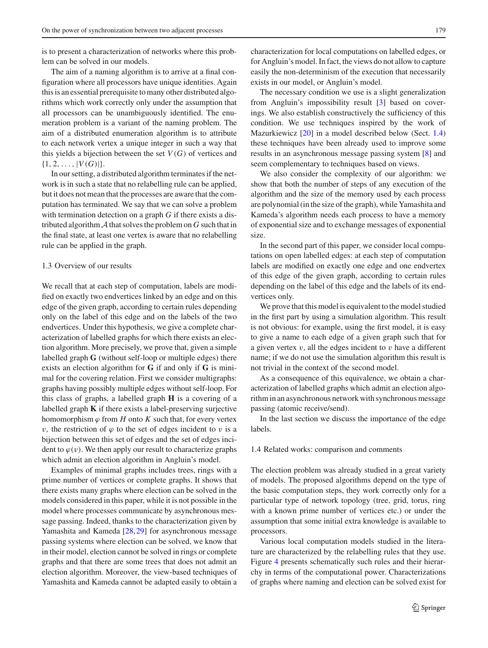is to present a characterization of networks where this problem can be solved in our models.

The aim of a naming algorithm is to arrive at a final configuration where all processors have unique identities. Again this is an essential prerequisite to many other distributed algorithms which work correctly only under the assumption that all processors can be unambiguously identified. The enumeration problem is a variant of the naming problem. The aim of a distributed enumeration algorithm is to attribute to each network vertex a unique integer in such a way that this yields a bijection between the set  $V(G)$  of vertices and  $\{1, 2, \ldots, |V(G)|\}.$ 

In our setting, a distributed algorithm terminates if the network is in such a state that no relabelling rule can be applied, but it does not mean that the processes are aware that the computation has terminated. We say that we can solve a problem with termination detection on a graph *G* if there exists a distributed algorithm  $A$  that solves the problem on  $G$  such that in the final state, at least one vertex is aware that no relabelling rule can be applied in the graph.

#### 1.3 Overview of our results

We recall that at each step of computation, labels are modified on exactly two endvertices linked by an edge and on this edge of the given graph, according to certain rules depending only on the label of this edge and on the labels of the two endvertices. Under this hypothesis, we give a complete characterization of labelled graphs for which there exists an election algorithm. More precisely, we prove that, given a simple labelled graph **G** (without self-loop or multiple edges) there exists an election algorithm for **G** if and only if **G** is minimal for the covering relation. First we consider multigraphs: graphs having possibly multiple edges without self-loop. For this class of graphs, a labelled graph **H** is a covering of a labelled graph **K** if there exists a label-preserving surjective homomorphism  $\varphi$  from  $H$  onto  $K$  such that, for every vertex v, the restriction of  $\varphi$  to the set of edges incident to v is a bijection between this set of edges and the set of edges incident to  $\varphi(v)$ . We then apply our result to characterize graphs which admit an election algorithm in Angluin's model.

Examples of minimal graphs includes trees, rings with a prime number of vertices or complete graphs. It shows that there exists many graphs where election can be solved in the models considered in this paper, while it is not possible in the model where processes communicate by asynchronous message passing. Indeed, thanks to the characterization given by Yamashita and Kameda [\[28](#page-19-5)[,29](#page-19-6)] for asynchronous message passing systems where election can be solved, we know that in their model, election cannot be solved in rings or complete graphs and that there are some trees that does not admit an election algorithm. Moreover, the view-based techniques of Yamashita and Kameda cannot be adapted easily to obtain a characterization for local computations on labelled edges, or for Angluin's model. In fact, the views do not allow to capture easily the non-determinism of the execution that necessarily exists in our model, or Angluin's model.

The necessary condition we use is a slight generalization from Angluin's impossibility result [\[3\]](#page-18-1) based on coverings. We also establish constructively the sufficiency of this condition. We use techniques inspired by the work of Mazurkiewicz [\[20](#page-19-7)] in a model described below (Sect. [1.4\)](#page-2-0) these techniques have been already used to improve some results in an asynchronous message passing system [\[8\]](#page-18-2) and seem complementary to techniques based on views.

We also consider the complexity of our algorithm: we show that both the number of steps of any execution of the algorithm and the size of the memory used by each process are polynomial (in the size of the graph), while Yamashita and Kameda's algorithm needs each process to have a memory of exponential size and to exchange messages of exponential size.

In the second part of this paper, we consider local computations on open labelled edges: at each step of computation labels are modified on exactly one edge and one endvertex of this edge of the given graph, according to certain rules depending on the label of this edge and the labels of its endvertices only.

We prove that this model is equivalent to the model studied in the first part by using a simulation algorithm. This result is not obvious: for example, using the first model, it is easy to give a name to each edge of a given graph such that for a given vertex  $v$ , all the edges incident to  $v$  have a different name; if we do not use the simulation algorithm this result is not trivial in the context of the second model.

As a consequence of this equivalence, we obtain a characterization of labelled graphs which admit an election algorithm in an asynchronous network with synchronous message passing (atomic receive/send).

In the last section we discuss the importance of the edge labels.

#### <span id="page-2-0"></span>1.4 Related works: comparison and comments

The election problem was already studied in a great variety of models. The proposed algorithms depend on the type of the basic computation steps, they work correctly only for a particular type of network topology (tree, grid, torus, ring with a known prime number of vertices etc.) or under the assumption that some initial extra knowledge is available to processors.

Various local computation models studied in the literature are characterized by the relabelling rules that they use. Figure [4](#page-3-0) presents schematically such rules and their hierarchy in terms of the computational power. Characterizations of graphs where naming and election can be solved exist for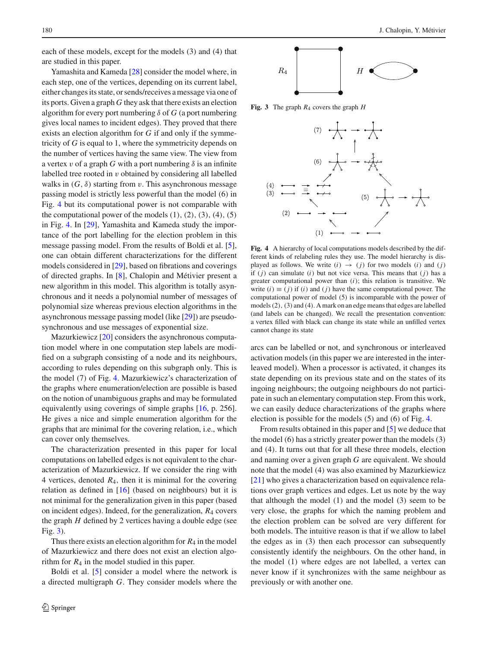each of these models, except for the models (3) and (4) that are studied in this paper.

Yamashita and Kameda [\[28\]](#page-19-5) consider the model where, in each step, one of the vertices, depending on its current label, either changes its state, or sends/receives a message via one of its ports. Given a graph *G* they ask that there exists an election algorithm for every port numbering  $\delta$  of *G* (a port numbering gives local names to incident edges). They proved that there exists an election algorithm for *G* if and only if the symmetricity of *G* is equal to 1, where the symmetricity depends on the number of vertices having the same view. The view from a vertex v of a graph *G* with a port numbering  $\delta$  is an infinite labelled tree rooted in  $v$  obtained by considering all labelled walks in  $(G, \delta)$  starting from v. This asynchronous message passing model is strictly less powerful than the model (6) in Fig. [4](#page-3-0) but its computational power is not comparable with the computational power of the models  $(1)$ ,  $(2)$ ,  $(3)$ ,  $(4)$ ,  $(5)$ in Fig. [4.](#page-3-0) In [\[29](#page-19-6)], Yamashita and Kameda study the importance of the port labelling for the election problem in this message passing model. From the results of Boldi et al. [\[5](#page-18-3)], one can obtain different characterizations for the different models considered in [\[29](#page-19-6)], based on fibrations and coverings of directed graphs. In [\[8](#page-18-2)], Chalopin and Métivier present a new algorithm in this model. This algorithm is totally asynchronous and it needs a polynomial number of messages of polynomial size whereas previous election algorithms in the asynchronous message passing model (like [\[29](#page-19-6)]) are pseudosynchronous and use messages of exponential size.

Mazurkiewicz [\[20\]](#page-19-7) considers the asynchronous computation model where in one computation step labels are modified on a subgraph consisting of a node and its neighbours, according to rules depending on this subgraph only. This is the model (7) of Fig. [4.](#page-3-0) Mazurkiewicz's characterization of the graphs where enumeration/election are possible is based on the notion of unambiguous graphs and may be formulated equivalently using coverings of simple graphs [\[16,](#page-19-9) p. 256]. He gives a nice and simple enumeration algorithm for the graphs that are minimal for the covering relation, i.e., which can cover only themselves.

The characterization presented in this paper for local computations on labelled edges is not equivalent to the characterization of Mazurkiewicz. If we consider the ring with 4 vertices, denoted *R*4, then it is minimal for the covering relation as defined in [\[16](#page-19-9)] (based on neighbours) but it is not minimal for the generalization given in this paper (based on incident edges). Indeed, for the generalization, *R*<sup>4</sup> covers the graph *H* defined by 2 vertices having a double edge (see Fig. [3\)](#page-3-1).

Thus there exists an election algorithm for *R*<sup>4</sup> in the model of Mazurkiewicz and there does not exist an election algorithm for  $R_4$  in the model studied in this paper.

Boldi et al. [\[5\]](#page-18-3) consider a model where the network is a directed multigraph *G*. They consider models where the



<span id="page-3-1"></span>**Fig. 3** The graph *R*<sup>4</sup> covers the graph *H*



<span id="page-3-0"></span>**Fig. 4** A hierarchy of local computations models described by the different kinds of relabeling rules they use. The model hierarchy is displayed as follows. We write  $(i) \rightarrow (j)$  for two models  $(i)$  and  $(j)$ if (*j*) can simulate (*i*) but not vice versa. This means that (*j*) has a greater computational power than (*i*); this relation is transitive. We write  $(i) \equiv (j)$  if  $(i)$  and  $(j)$  have the same computational power. The computational power of model (5) is incomparable with the power of models(2), (3) and (4). A mark on an edge means that edges are labelled (and labels can be changed). We recall the presentation convention: a vertex filled with black can change its state while an unfilled vertex cannot change its state

arcs can be labelled or not, and synchronous or interleaved activation models (in this paper we are interested in the interleaved model). When a processor is activated, it changes its state depending on its previous state and on the states of its ingoing neighbours; the outgoing neighbours do not participate in such an elementary computation step. From this work, we can easily deduce characterizations of the graphs where election is possible for the models (5) and (6) of Fig. [4.](#page-3-0)

From results obtained in this paper and [\[5](#page-18-3)] we deduce that the model  $(6)$  has a strictly greater power than the models  $(3)$ and (4). It turns out that for all these three models, election and naming over a given graph *G* are equivalent. We should note that the model (4) was also examined by Mazurkiewicz [\[21](#page-19-8)] who gives a characterization based on equivalence relations over graph vertices and edges. Let us note by the way that although the model (1) and the model (3) seem to be very close, the graphs for which the naming problem and the election problem can be solved are very different for both models. The intuitive reason is that if we allow to label the edges as in (3) then each processor can subsequently consistently identify the neighbours. On the other hand, in the model (1) where edges are not labelled, a vertex can never know if it synchronizes with the same neighbour as previously or with another one.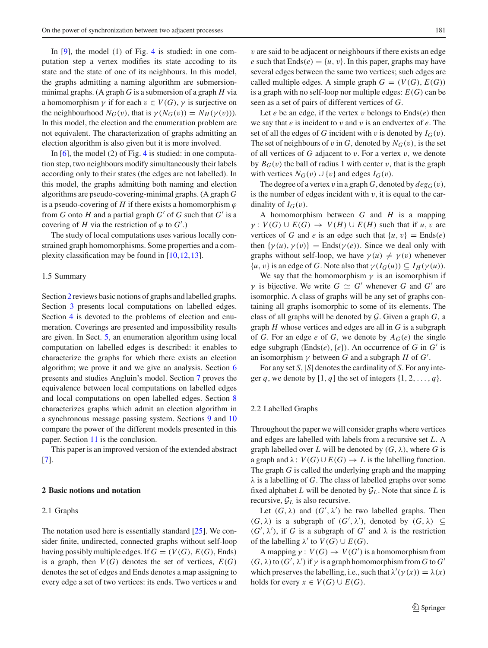In [\[9\]](#page-18-4), the model (1) of Fig. [4](#page-3-0) is studied: in one computation step a vertex modifies its state accoding to its state and the state of one of its neighbours. In this model, the graphs admitting a naming algorithm are submersionminimal graphs. (A graph *G* is a submersion of a graph *H* via a homomorphism  $\gamma$  if for each  $v \in V(G)$ ,  $\gamma$  is surjective on the neighbourhood  $N_G(v)$ , that is  $\gamma(N_G(v)) = N_H(\gamma(v))$ . In this model, the election and the enumeration problem are not equivalent. The characterization of graphs admitting an election algorithm is also given but it is more involved.

In  $[6]$  $[6]$ , the model (2) of Fig. [4](#page-3-0) is studied: in one computation step, two neighbours modify simultaneously their labels according only to their states (the edges are not labelled). In this model, the graphs admitting both naming and election algorithms are pseudo-covering-minimal graphs. (A graph *G* is a pseudo-covering of *H* if there exists a homomorphism  $\varphi$ from *G* onto *H* and a partial graph  $G'$  of *G* such that  $G'$  is a covering of *H* via the restriction of  $\varphi$  to *G'*.)

The study of local computations uses various locally constrained graph homomorphisms. Some properties and a complexity classification may be found in  $[10,12,13]$  $[10,12,13]$  $[10,12,13]$  $[10,12,13]$ .

#### 1.5 Summary

Section [2](#page-4-0) reviews basic notions of graphs and labelled graphs. Section [3](#page-5-0) presents local computations on labelled edges. Section [4](#page-6-0) is devoted to the problems of election and enumeration. Coverings are presented and impossibility results are given. In Sect. [5,](#page-7-0) an enumeration algorithm using local computation on labelled edges is described: it enables to characterize the graphs for which there exists an election algorithm; we prove it and we give an analysis. Section [6](#page-11-0) presents and studies Angluin's model. Section [7](#page-12-0) proves the equivalence between local computations on labelled edges and local computations on open labelled edges. Section [8](#page-16-0) characterizes graphs which admit an election algorithm in a synchronous message passing system. Sections [9](#page-16-1) and [10](#page-17-0) compare the power of the different models presented in this paper. Section [11](#page-18-9) is the conclusion.

This paper is an improved version of the extended abstract [\[7](#page-18-10)].

# <span id="page-4-0"></span>**2 Basic notions and notation**

#### 2.1 Graphs

The notation used here is essentially standard [\[25\]](#page-19-10). We consider finite, undirected, connected graphs without self-loop having possibly multiple edges. If  $G = (V(G), E(G),$  Ends) is a graph, then  $V(G)$  denotes the set of vertices,  $E(G)$ denotes the set of edges and Ends denotes a map assigning to every edge a set of two vertices: its ends. Two vertices *u* and

v are said to be adjacent or neighbours if there exists an edge *e* such that  $Ends(e) = \{u, v\}$ . In this paper, graphs may have several edges between the same two vertices; such edges are called multiple edges. A simple graph  $G = (V(G), E(G))$ is a graph with no self-loop nor multiple edges:  $E(G)$  can be seen as a set of pairs of different vertices of *G*.

Let  $e$  be an edge, if the vertex  $v$  belongs to  $Ends(e)$  then we say that *e* is incident to v and v is an endvertex of *e*. The set of all the edges of *G* incident with v is denoted by  $I_G(v)$ . The set of neighbours of v in *G*, denoted by  $N_G(v)$ , is the set of all vertices of *G* adjacent to v. For a vertex v, we denote by  $B_G(v)$  the ball of radius 1 with center v, that is the graph with vertices  $N_G(v) \cup \{v\}$  and edges  $I_G(v)$ .

The degree of a vertex v in a graph *G*, denoted by  $deg_G(v)$ , is the number of edges incident with  $v$ , it is equal to the cardinality of  $I_G(v)$ .

A homomorphism between *G* and *H* is a mapping  $\gamma: V(G) \cup E(G) \rightarrow V(H) \cup E(H)$  such that if *u*, *v* are vertices of *G* and *e* is an edge such that  $\{u, v\}$  = Ends(*e*) then  $\{\gamma(u), \gamma(v)\}$  = Ends( $\gamma(e)$ ). Since we deal only with graphs without self-loop, we have  $\gamma(u) \neq \gamma(v)$  whenever  $\{u, v\}$  is an edge of *G*. Note also that  $\gamma(I_G(u)) \subseteq I_H(\gamma(u))$ .

We say that the homomorphism  $\gamma$  is an isomorphism if *γ* is bijective. We write  $G \simeq G'$  whenever *G* and *G'* are isomorphic. A class of graphs will be any set of graphs containing all graphs isomorphic to some of its elements. The class of all graphs will be denoted by G. Given a graph *G*, a graph *H* whose vertices and edges are all in *G* is a subgraph of *G*. For an edge *e* of *G*, we denote by  $A_G(e)$  the single edge subgraph (Ends(*e*),  $\{e\}$ ). An occurrence of *G* in *G*' is an isomorphism  $\gamma$  between *G* and a subgraph *H* of *G'*.

For any set *S*, |*S*| denotes the cardinality of *S*. For any integer *q*, we denote by  $[1, q]$  the set of integers  $\{1, 2, \ldots, q\}$ .

#### 2.2 Labelled Graphs

Throughout the paper we will consider graphs where vertices and edges are labelled with labels from a recursive set *L*. A graph labelled over *L* will be denoted by  $(G, \lambda)$ , where *G* is a graph and  $\lambda$ :  $V(G) \cup E(G) \rightarrow L$  is the labelling function. The graph *G* is called the underlying graph and the mapping λ is a labelling of *G*. The class of labelled graphs over some fixed alphabet *L* will be denoted by  $\mathcal{G}_L$ . Note that since *L* is recursive,  $\mathcal{G}_L$  is also recursive.

Let  $(G, \lambda)$  and  $(G', \lambda')$  be two labelled graphs. Then  $(G, \lambda)$  is a subgraph of  $(G', \lambda')$ , denoted by  $(G, \lambda) \subseteq$  $(G', \lambda')$ , if *G* is a subgraph of *G'* and  $\lambda$  is the restriction of the labelling  $\lambda'$  to  $V(G) \cup E(G)$ .

A mapping  $\gamma: V(G) \to V(G')$  is a homomorphism from  $(G, \lambda)$  to  $(G', \lambda')$  if  $\gamma$  is a graph homomorphism from *G* to *G*<sup>'</sup> which preserves the labelling, i.e., such that  $\lambda'(\gamma(x)) = \lambda(x)$ holds for every  $x \in V(G) \cup E(G)$ .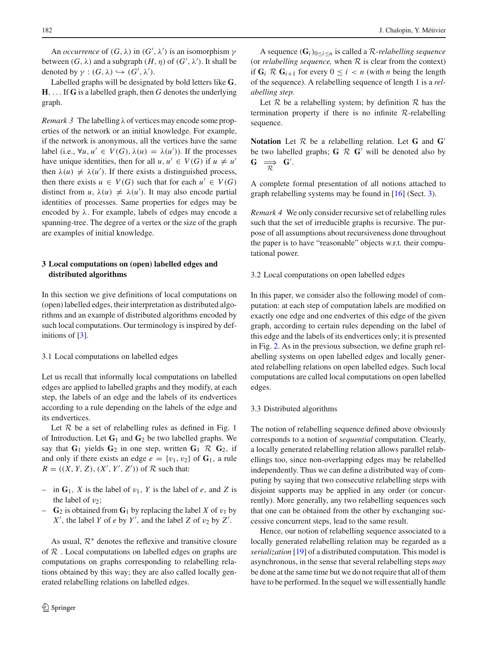An *occurrence* of  $(G, \lambda)$  in  $(G', \lambda')$  is an isomorphism  $\gamma$ between  $(G, \lambda)$  and a subgraph  $(H, \eta)$  of  $(G', \lambda')$ . It shall be denoted by  $\gamma : (G, \lambda) \hookrightarrow (G', \lambda').$ 

Labelled graphs will be designated by bold letters like **G**, **H**,... If **G** is a labelled graph, then *G* denotes the underlying graph.

*Remark 3* The labelling λ of vertices may encode some properties of the network or an initial knowledge. For example, if the network is anonymous, all the vertices have the same label (i.e.,  $\forall u, u' \in V(G), \lambda(u) = \lambda(u')$ ). If the processes have unique identities, then for all  $u, u' \in V(G)$  if  $u \neq u'$ then  $\lambda(u) \neq \lambda(u')$ . If there exists a distinguished process, then there exists  $u \in V(G)$  such that for each  $u' \in V(G)$ distinct from  $u$ ,  $\lambda(u) \neq \lambda(u')$ . It may also encode partial identities of processes. Same properties for edges may be encoded by  $\lambda$ . For example, labels of edges may encode a spanning-tree. The degree of a vertex or the size of the graph are examples of initial knowledge.

# <span id="page-5-0"></span>**3 Local computations on (open) labelled edges and distributed algorithms**

In this section we give definitions of local computations on (open) labelled edges, their interpretation as distributed algorithms and an example of distributed algorithms encoded by such local computations. Our terminology is inspired by definitions of [\[3\]](#page-18-1).

# 3.1 Local computations on labelled edges

Let us recall that informally local computations on labelled edges are applied to labelled graphs and they modify, at each step, the labels of an edge and the labels of its endvertices according to a rule depending on the labels of the edge and its endvertices.

Let  $R$  be a set of relabelling rules as defined in Fig. 1 of Introduction. Let **G**<sup>1</sup> and **G**<sup>2</sup> be two labelled graphs. We say that  $G_1$  yields  $G_2$  in one step, written  $G_1 \mathcal{R} G_2$ , if and only if there exists an edge  $e = \{v_1, v_2\}$  of  $\mathbf{G}_1$ , a rule  $R = ((X, Y, Z), (X', Y', Z'))$  of  $R$  such that:

- in  $G_1$ , *X* is the label of  $v_1$ , *Y* is the label of *e*, and *Z* is the label of  $v_2$ ;
- $-$  **G**<sub>2</sub> is obtained from **G**<sub>1</sub> by replacing the label *X* of  $v_1$  by *X*<sup> $\prime$ </sup>, the label *Y* of *e* by *Y*<sup> $\prime$ </sup>, and the label *Z* of  $v_2$  by *Z*<sup> $\prime$ </sup>.

As usual,  $\mathcal{R}^*$  denotes the reflexive and transitive closure of  $R$ . Local computations on labelled edges on graphs are computations on graphs corresponding to relabelling relations obtained by this way; they are also called locally generated relabelling relations on labelled edges.

A sequence  $(G_i)_{0 \le i \le n}$  is called a R-*relabelling sequence* (or *relabelling sequence*, when  $R$  is clear from the context) if  $G_i$  R  $G_{i+1}$  for every  $0 \le i \le n$  (with *n* being the length of the sequence). A relabelling sequence of length 1 is a *relabelling step.*

Let  $R$  be a relabelling system; by definition  $R$  has the termination property if there is no infinite  $R$ -relabelling sequence.

**Notation** Let  $R$  be a relabelling relation. Let **G** and **G**<sup>'</sup> be two labelled graphs;  $G \nvert R \nvert G'$  will be denoted also by G  $\Rightarrow$ **G**! .

A complete formal presentation of all notions attached to graph relabelling systems may be found in [\[16](#page-19-9)] (Sect. [3\)](#page-5-0).

*Remark 4* We only consider recursive set of relabelling rules such that the set of irreducible graphs is recursive. The purpose of all assumptions about recursiveness done throughout the paper is to have "reasonable" objects w.r.t. their computational power.

## 3.2 Local computations on open labelled edges

In this paper, we consider also the following model of computation: at each step of computation labels are modified on exactly one edge and one endvertex of this edge of the given graph, according to certain rules depending on the label of this edge and the labels of its endvertices only; it is presented in Fig. [2.](#page-1-1) As in the previous subsection, we define graph relabelling systems on open labelled edges and locally generated relabelling relations on open labelled edges. Such local computations are called local computations on open labelled edges.

#### 3.3 Distributed algorithms

The notion of relabelling sequence defined above obviously corresponds to a notion of *sequential* computation. Clearly, a locally generated relabelling relation allows parallel relabellings too, since non-overlapping edges may be relabelled independently. Thus we can define a distributed way of computing by saying that two consecutive relabelling steps with disjoint supports may be applied in any order (or concurrently). More generally, any two relabelling sequences such that one can be obtained from the other by exchanging successive concurrent steps, lead to the same result.

Hence, our notion of relabelling sequence associated to a locally generated relabelling relation may be regarded as a *serialization* [\[19](#page-19-11)] of a distributed computation. This model is asynchronous, in the sense that several relabelling steps *may* be done at the same time but we do not require that all of them have to be performed. In the sequel we will essentially handle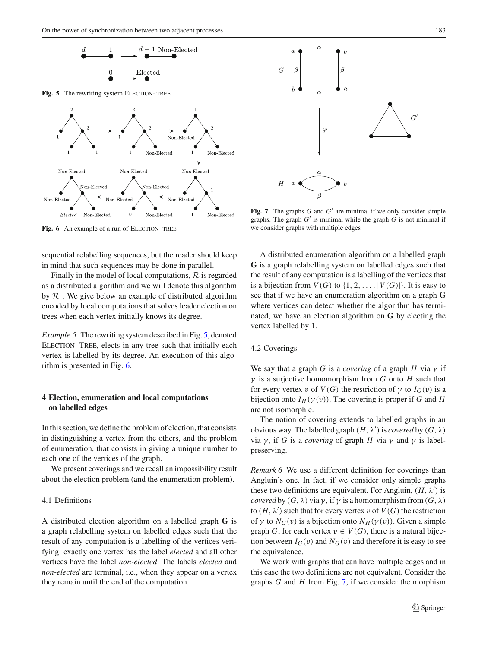

Fig. 5 The rewriting system ELECTION- TREE

<span id="page-6-2"></span>

<span id="page-6-3"></span>Fig. 6 An example of a run of ELECTION- TREE

sequential relabelling sequences, but the reader should keep in mind that such sequences may be done in parallel.

Finally in the model of local computations,  $R$  is regarded as a distributed algorithm and we will denote this algorithm by  $R$ . We give below an example of distributed algorithm encoded by local computations that solves leader election on trees when each vertex initially knows its degree.

*Example 5* The rewriting system described in Fig. [5,](#page-6-2) denoted ELECTION- TREE, elects in any tree such that initially each vertex is labelled by its degree. An execution of this algorithm is presented in Fig. [6.](#page-6-3)

# <span id="page-6-0"></span>**4 Election, enumeration and local computations on labelled edges**

In this section, we define the problem of election, that consists in distinguishing a vertex from the others, and the problem of enumeration, that consists in giving a unique number to each one of the vertices of the graph.

We present coverings and we recall an impossibility result about the election problem (and the enumeration problem).

## 4.1 Definitions

A distributed election algorithm on a labelled graph **G** is a graph relabelling system on labelled edges such that the result of any computation is a labelling of the vertices verifying: exactly one vertex has the label *elected* and all other vertices have the label *non-elected*. The labels *elected* and *non-elected* are terminal, i.e., when they appear on a vertex they remain until the end of the computation.





 $\sqrt{2}$ 

 $\overline{G}$ 

<span id="page-6-1"></span>**Fig. 7** The graphs *G* and *G*! are minimal if we only consider simple graphs. The graph  $G'$  is minimal while the graph  $G$  is not minimal if we consider graphs with multiple edges

A distributed enumeration algorithm on a labelled graph **G** is a graph relabelling system on labelled edges such that the result of any computation is a labelling of the vertices that is a bijection from  $V(G)$  to  $\{1, 2, \ldots, |V(G)|\}$ . It is easy to see that if we have an enumeration algorithm on a graph **G** where vertices can detect whether the algorithm has terminated, we have an election algorithm on **G** by electing the vertex labelled by 1.

#### 4.2 Coverings

We say that a graph *G* is a *covering* of a graph *H* via  $\gamma$  if  $\gamma$  is a surjective homomorphism from *G* onto *H* such that for every vertex v of  $V(G)$  the restriction of  $\gamma$  to  $I_G(v)$  is a bijection onto  $I_H(\gamma(v))$ . The covering is proper if *G* and *H* are not isomorphic.

The notion of covering extends to labelled graphs in an obvious way. The labelled graph  $(H, λ')$  is *covered* by  $(G, λ)$ via γ, if *G* is a *covering* of graph *H* via γ and γ is labelpreserving.

*Remark 6* We use a different definition for coverings than Angluin's one. In fact, if we consider only simple graphs these two definitions are equivalent. For Angluin,  $(H, \lambda')$  is *covered* by  $(G, \lambda)$  via  $\gamma$ , if  $\gamma$  is a homomorphism from  $(G, \lambda)$ to  $(H, \lambda')$  such that for every vertex v of  $V(G)$  the restriction of  $\gamma$  to  $N_G(v)$  is a bijection onto  $N_H(\gamma(v))$ . Given a simple graph *G*, for each vertex  $v \in V(G)$ , there is a natural bijection between  $I_G(v)$  and  $N_G(v)$  and therefore it is easy to see the equivalence.

We work with graphs that can have multiple edges and in this case the two definitions are not equivalent. Consider the graphs *G* and *H* from Fig. [7,](#page-6-1) if we consider the morphism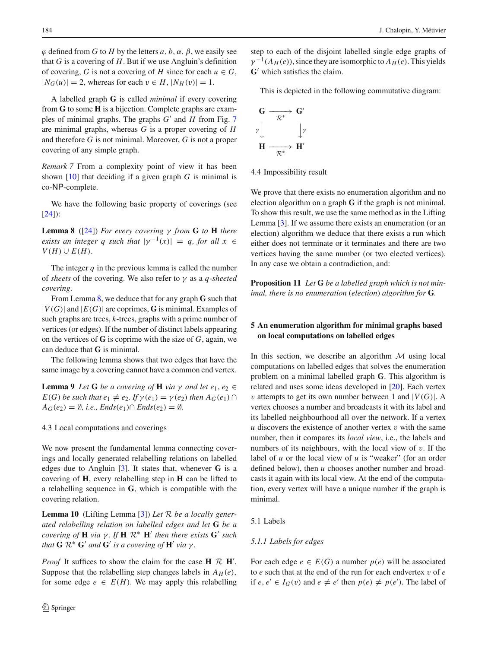$\varphi$  defined from *G* to *H* by the letters *a*, *b*,  $\alpha$ ,  $\beta$ , we easily see that *G* is a covering of *H*. But if we use Angluin's definition of covering, *G* is not a covering of *H* since for each  $u \in G$ ,  $|N_G(u)| = 2$ , whereas for each  $v \in H$ ,  $|N_H(v)| = 1$ .

A labelled graph **G** is called *minimal* if every covering from **G** to some **H** is a bijection. Complete graphs are examples of minimal graphs. The graphs *G*! and *H* from Fig. [7](#page-6-1) are minimal graphs, whereas *G* is a proper covering of *H* and therefore *G* is not minimal. Moreover, *G* is not a proper covering of any simple graph.

*Remark 7* From a complexity point of view it has been shown [\[10](#page-18-6)] that deciding if a given graph *G* is minimal is co-NP-complete.

<span id="page-7-1"></span>We have the following basic property of coverings (see [\[24](#page-19-12)]):

**Lemma 8** ([\[24\]](#page-19-12)) *For every covering* γ *from* **G** *to* **H** *there exists an integer q such that*  $|\gamma^{-1}(x)| = q$ *, for all x* ∈  $V(H) \cup E(H)$ .

The integer *q* in the previous lemma is called the number of *sheets* of the covering. We also refer to γ as a *q-sheeted covering*.

From Lemma [8,](#page-7-1) we deduce that for any graph **G** such that  $|V(G)|$  and  $|E(G)|$  are coprimes, **G** is minimal. Examples of such graphs are trees, *k*-trees, graphs with a prime number of vertices (or edges). If the number of distinct labels appearing on the vertices of **G** is coprime with the size of *G*, again, we can deduce that **G** is minimal.

The following lemma shows that two edges that have the same image by a covering cannot have a common end vertex.

**Lemma 9** *Let* **G** *be a covering of* **H** *via*  $\gamma$  *and let*  $e_1, e_2 \in$ *E*(*G*) *be such that*  $e_1 \neq e_2$ *. If*  $\gamma(e_1) = \gamma(e_2)$  *then*  $A_G(e_1) \cap$  $A_G(e_2) = ∅$ *, i.e., Ends*( $e_1$ )∩ *Ends*( $e_2$ ) = Ø.

# 4.3 Local computations and coverings

We now present the fundamental lemma connecting coverings and locally generated relabelling relations on labelled edges due to Angluin [\[3\]](#page-18-1). It states that, whenever **G** is a covering of **H**, every relabelling step in **H** can be lifted to a relabelling sequence in **G**, which is compatible with the covering relation.

**Lemma 10** (Lifting Lemma [\[3\]](#page-18-1)) *Let* R *be a locally generated relabelling relation on labelled edges and let* **G** *be a covering of* **H** *via* γ. *If* **H** R<sup>∗</sup> **H**! *then there exists* **G**! *such that*  $G \mathcal{R}^* G'$  *and*  $G'$  *is a covering of*  $H'$  *via*  $\gamma$ *.* 

*Proof* It suffices to show the claim for the case  $H \mathcal{R} H'$ . Suppose that the relabelling step changes labels in  $A_H(e)$ , for some edge  $e \in E(H)$ . We may apply this relabelling step to each of the disjoint labelled single edge graphs of  $\gamma^{-1}(A_H(e))$ , since they are isomorphic to  $A_H(e)$ . This yields **G**<sup> $\prime$ </sup> which satisfies the claim.

This is depicted in the following commutative diagram:

$$
\begin{array}{ccc}\nG & \xrightarrow{\text{R}^*} & G' \\
\gamma \downarrow & & \downarrow{\gamma} \\
H & \xrightarrow{\text{R}^*} & H'\n\end{array}
$$

4.4 Impossibility result

We prove that there exists no enumeration algorithm and no election algorithm on a graph **G** if the graph is not minimal. To show this result, we use the same method as in the Lifting Lemma [\[3](#page-18-1)]. If we assume there exists an enumeration (or an election) algorithm we deduce that there exists a run which either does not terminate or it terminates and there are two vertices having the same number (or two elected vertices). In any case we obtain a contradiction, and:

<span id="page-7-2"></span>**Proposition 11** *Let* **G** *be a labelled graph which is not minimal, there is no enumeration* (*election*) *algorithm for* **G***.*

# <span id="page-7-0"></span>**5 An enumeration algorithm for minimal graphs based on local computations on labelled edges**

In this section, we describe an algorithm  $M$  using local computations on labelled edges that solves the enumeration problem on a minimal labelled graph **G**. This algorithm is related and uses some ideas developed in [\[20](#page-19-7)]. Each vertex v attempts to get its own number between 1 and  $|V(G)|$ . A vertex chooses a number and broadcasts it with its label and its labelled neighbourhood all over the network. If a vertex  *discovers the existence of another vertex*  $*v*$  *with the same* number, then it compares its *local view*, i.e., the labels and numbers of its neighbours, with the local view of  $v$ . If the label of *u* or the local view of *u* is "weaker" (for an order defined below), then *u* chooses another number and broadcasts it again with its local view. At the end of the computation, every vertex will have a unique number if the graph is minimal.

5.1 Labels

#### *5.1.1 Labels for edges*

For each edge  $e \in E(G)$  a number  $p(e)$  will be associated to *e* such that at the end of the run for each endvertex v of *e* if  $e, e' \in I_G(v)$  and  $e \neq e'$  then  $p(e) \neq p(e')$ . The label of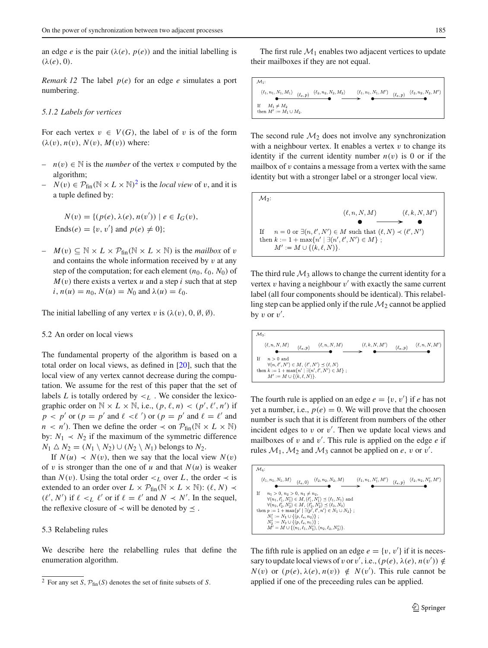an edge *e* is the pair  $(\lambda(e), p(e))$  and the initial labelling is  $(\lambda(e), 0).$ 

*Remark 12* The label *p*(*e*) for an edge *e* simulates a port numbering.

#### *5.1.2 Labels for vertices*

For each vertex  $v \in V(G)$ , the label of v is of the form  $(\lambda(v), n(v), N(v), M(v))$  where:

- *n*(v) ∈ N is the *number* of the vertex v computed by the algorithm;
- $N(v) \in \mathcal{P}_{fin}(\mathbb{N} \times L \times \mathbb{N})^2$  $N(v) \in \mathcal{P}_{fin}(\mathbb{N} \times L \times \mathbb{N})^2$  is the *local view* of v, and it is a tuple defined by:

$$
N(v) = \{ (p(e), \lambda(e), n(v')) \mid e \in I_G(v),
$$
  
Ends(e) = {v, v' } and  $p(e) \neq 0$ };

*− M*(*v*) ⊆  $\mathbb{N} \times L \times \mathcal{P}_{\text{fin}}(\mathbb{N} \times L \times \mathbb{N})$  is the *mailbox* of *v* and contains the whole information received by  $v$  at any step of the computation; for each element  $(n_0, \ell_0, N_0)$  of  $M(v)$  there exists a vertex  $u$  and a step  $i$  such that at step  $i, n(u) = n_0, N(u) = N_0$  and  $\lambda(u) = \ell_0$ .

The initial labelling of any vertex v is  $(\lambda(v), 0, \emptyset, \emptyset)$ .

#### 5.2 An order on local views

The fundamental property of the algorithm is based on a total order on local views, as defined in [\[20](#page-19-7)], such that the local view of any vertex cannot decrease during the computation. We assume for the rest of this paper that the set of labels *L* is totally ordered by  $\lt_L$ . We consider the lexicographic order on  $\mathbb{N} \times L \times \mathbb{N}$ , i.e.,  $(p, \ell, n) < (p', \ell', n')$  if  $p < p'$  or  $(p = p'$  and  $\ell < \ell'$ ) or  $(p = p'$  and  $\ell = \ell'$  and  $n < n'$ ). Then we define the order  $\prec$  on  $\mathcal{P}_{fin}(\mathbb{N} \times L \times \mathbb{N})$ by:  $N_1 \prec N_2$  if the maximum of the symmetric difference  $N_1 \triangle N_2 = (N_1 \setminus N_2) \cup (N_2 \setminus N_1)$  belongs to  $N_2$ .

If  $N(u) \prec N(v)$ , then we say that the local view  $N(v)$ of v is stronger than the one of  $u$  and that  $N(u)$  is weaker than  $N(v)$ . Using the total order <*L* over *L*, the order < is extended to an order over  $L \times \mathcal{P}_{fin}(\mathbb{N} \times L \times \mathbb{N})$ :  $(\ell, N) \prec$  $(\ell', N')$  if  $\ell <_L \ell'$  or if  $\ell = \ell'$  and  $N \prec N'$ . In the sequel, the reflexive closure of  $\prec$  will be denoted by  $\preceq$ .

#### 5.3 Relabeling rules

We describe here the relabelling rules that define the enumeration algorithm.

| $\mathcal{M}_1$ :                                                                           |                                                                                           |  |  |
|---------------------------------------------------------------------------------------------|-------------------------------------------------------------------------------------------|--|--|
| $(\ell_1, n_1, N_1, M_1)$ $(\ell_e, p)$<br>If $M_1 \neq M_2$<br>then $M' := M_1 \cup M_2$ . | $(\ell_2, n_2, N_2, M_2)$ $(\ell_1, n_1, N_1, M')$ $(\ell_e, p)$ $(\ell_2, n_2, N_2, M')$ |  |  |

The second rule  $\mathcal{M}_2$  does not involve any synchronization with a neighbour vertex. It enables a vertex  $v$  to change its identity if the current identity number  $n(v)$  is 0 or if the mailbox of v contains a message from a vertex with the same identity but with a stronger label or a stronger local view.

$$
\mathcal{M}_2:
$$
\n
$$
(\ell, n, N, M)
$$
\n
$$
\ell, k, N, M')
$$
\nIf  $n = 0$  or  $\exists (n, \ell', N') \in M$  such that  $(\ell, N) \prec (\ell', N')$   
\nthen  $k := 1 + \max\{n' \mid \exists (n', \ell', N') \in M\};$   
\n
$$
M' := M \cup \{(k, \ell, N)\}.
$$

The third rule  $\mathcal{M}_3$  allows to change the current identity for a vertex  $v$  having a neighbour  $v'$  with exactly the same current label (all four components should be identical). This relabelling step can be applied only if the rule  $\mathcal{M}_2$  cannot be applied by  $v$  or  $v'$ .

| $\mathcal{M}_3$ :                                                                                                                                                                      |                   |                    |               |                    |
|----------------------------------------------------------------------------------------------------------------------------------------------------------------------------------------|-------------------|--------------------|---------------|--------------------|
| $(\ell, n, N, M)$<br>$(\ell_e, p)$                                                                                                                                                     | $(\ell, n, N, M)$ | $(\ell, k, N, M')$ | $(\ell_e, p)$ | $(\ell, n, N, M')$ |
| $n > 0$ and<br>Τf<br>$\forall (n, \ell', N') \in M, (\ell', N') \preceq (\ell, N)$<br>then $k := 1 + \max\{n'   \exists (n', \ell', N') \in M\}$ ;<br>$M' := M \cup \{(k, \ell, N)\}.$ |                   |                    |               |                    |

The fourth rule is applied on an edge  $e = \{v, v'\}$  if  $e$  has not yet a number, i.e.,  $p(e) = 0$ . We will prove that the choosen number is such that it is different from numbers of the other incident edges to  $v$  or  $v'$ . Then we update local views and mailboxes of  $v$  and  $v'$ . This rule is applied on the edge  $e$  if rules  $\mathcal{M}_1$ ,  $\mathcal{M}_2$  and  $\mathcal{M}_3$  cannot be applied on *e*, *v* or *v'*.

| $\mathcal{M}_4$ :                                                                                                                                                                                                                     |  |  |
|---------------------------------------------------------------------------------------------------------------------------------------------------------------------------------------------------------------------------------------|--|--|
| $(\ell_2, n_2, N_2, M)$ $(\ell_1, n_1, N'_1, M')$ $(\ell_e, p)$ $(\ell_2, n_2, N'_2, M')$<br>$(\ell_1, n_1, N_1, M)$ $(\ell_e, 0)$                                                                                                    |  |  |
| Ιf<br>$n_1 > 0, n_2 > 0, n_1 \neq n_2,$<br>$\forall (n_1, \ell'_1, N'_1) \in M, (\ell'_1, N'_1) \preceq (\ell_1, N_1)$ and<br>$\forall (n_2, \ell'_2, N'_2) \in M, (\ell'_2, N'_2) \prec (\ell_2, N_2)$                               |  |  |
| then $p := 1 + \max\{p' \mid \exists (p', \ell', n') \in N_1 \cup N_2\}$ ;<br>$N'_1 := N_1 \cup \{(p, \ell_e, n_2)\}\;;$<br>$N'_2 := N_2 \cup \{(p, \ell_e, n_1)\}\;;$<br>$M' = M \cup \{(n_1, \ell_1, N'_1), (n_2, \ell_2, N'_2)\}.$ |  |  |

The fifth rule is applied on an edge  $e = \{v, v'\}$  if it is necessary to update local views of v or v', i.e.,  $(p(e), \lambda(e), n(v')) \notin$  $N(v)$  or  $(p(e), \lambda(e), n(v)) \notin N(v')$ . This rule cannot be applied if one of the preceeding rules can be applied.

<span id="page-8-0"></span><sup>&</sup>lt;sup>2</sup> For any set *S*,  $\mathcal{P}_{fin}(S)$  denotes the set of finite subsets of *S*.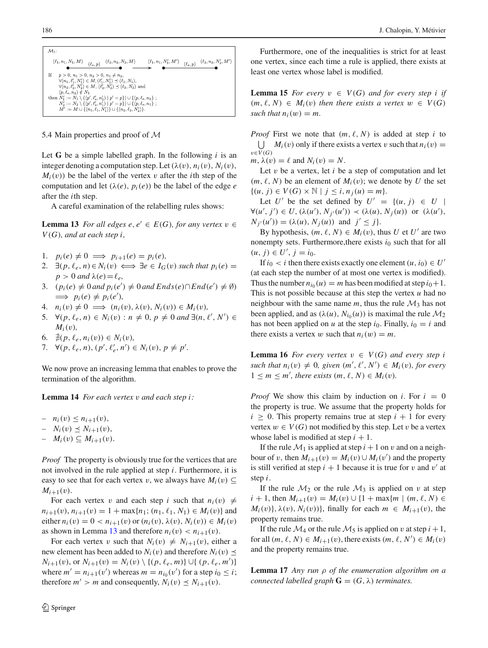

#### 5.4 Main properties and proof of M

Let **G** be a simple labelled graph. In the following *i* is an integer denoting a computation step. Let  $(\lambda(v), n_i(v), N_i(v))$ ,  $M_i(v)$ ) be the label of the vertex v after the *i*th step of the computation and let  $(\lambda(e), p_i(e))$  be the label of the edge *e* after the *i*th step.

A careful examination of the relabelling rules shows:

<span id="page-9-0"></span>**Lemma 13** *For all edges e, e'*  $\in E(G)$ *, for any vertex*  $v \in E(G)$ *V*(*G*)*, and at each step i,*

- 1.  $p_i(e) \neq 0 \implies p_{i+1}(e) = p_i(e)$ ,
- 2.  $\exists (p, \ell_e, n) \in N_i(v) \iff \exists e \in I_G(v) \text{ such that } p_i(e) =$  $p > 0$  *and*  $\lambda(e) = \ell_e$ ,
- 3.  $(p_i(e) \neq 0 \text{ and } p_i(e') \neq 0 \text{ and } Ends(e) \cap End(e') \neq \emptyset$  $\implies p_i(e) \neq p_i(e'),$
- 4.  $n_i(v) \neq 0 \implies (n_i(v), \lambda(v), N_i(v)) \in M_i(v)$ ,
- 5.  $\forall (p, \ell_e, n) \in N_i(v) : n \neq 0, p \neq 0 \text{ and } \exists (n, \ell', N') \in$ *Mi*(v)*,*
- 6.  $\exists (p, \ell_e, n_i(v)) \in N_i(v)$ ,
- 7.  $\forall (p, \ell_e, n), (p', \ell'_e, n') \in N_i(v), p \neq p'.$

<span id="page-9-3"></span>We now prove an increasing lemma that enables to prove the termination of the algorithm.

**Lemma 14** *For each vertex* v *and each step i :*

- $n_i(v) \leq n_{i+1}(v),$
- *–*  $N_i(v) \leq N_{i+1}(v)$ ,
- *–*  $M_i(v) ⊆ M_{i+1}(v)$ .

*Proof* The property is obviously true for the vertices that are not involved in the rule applied at step *i*. Furthermore, it is easy to see that for each vertex v, we always have  $M_i(v) \subseteq$  $M_{i+1}(v)$ .

For each vertex v and each step *i* such that  $n_i(v) \neq$  $n_{i+1}(v), n_{i+1}(v) = 1 + \max\{n_1; (n_1, \ell_1, N_1) \in M_i(v)\}\$ and either  $n_i(v) = 0 < n_{i+1}(v)$  or  $(n_i(v), \lambda(v), N_i(v)) \in M_i(v)$ as shown in Lemma [13](#page-9-0) and therefore  $n_i(v) < n_{i+1}(v)$ .

For each vertex v such that  $N_i(v) \neq N_{i+1}(v)$ , either a new element has been added to  $N_i(v)$  and therefore  $N_i(v) \preceq$ *N<sub>i+1</sub>*(*v*), or *N<sub>i+1</sub>*(*v*) = *N<sub>i</sub>*(*v*) \ {(*p*,  $\ell_e$ , *m*)} ∪{ (*p*,  $\ell_e$ , *m'*)} where  $m' = n_{i+1}(v')$  whereas  $m = n_{i_0}(v')$  for a step  $i_0 \le i$ ; therefore  $m' > m$  and consequently,  $N_i(v) \leq N_{i+1}(v)$ .

Furthermore, one of the inequalities is strict for at least one vertex, since each time a rule is applied, there exists at least one vertex whose label is modified.

<span id="page-9-2"></span>**Lemma 15** *For every*  $v \in V(G)$  *and for every step i if*  $(m, \ell, N) \in M_i(v)$  *then there exists a vertex*  $w \in V(G)$ *such that*  $n_i(w) = m$ .

*Proof* First we note that  $(m, \ell, N)$  is added at step *i* to  $\bigcup_{v \in \mathbb{R}} M_i(v)$  only if there exists a vertex v such that  $n_i(v) =$  $v\in V(G)$  $m, \lambda(v) = \ell$  and  $N_i(v) = N$ .

Let  $v$  be a vertex, let  $i$  be a step of computation and let  $(m, \ell, N)$  be an element of  $M_i(v)$ ; we denote by *U* the set  $\{(u, j) \in V(G) \times \mathbb{N} \mid j \leq i, n_i(u) = m\}.$ 

Let *U'* be the set defined by  $U' = \{(u, j) \in U \mid$  $\forall (u', j') \in U, (\lambda(u'), N_{j'}(u')) \prec (\lambda(u), N_j(u))$  or  $(\lambda(u'),$  $N_{j'}(u') = (\lambda(u), N_j(u))$  and  $j' \leq j$ .

By hypothesis,  $(m, \ell, N) \in M_i(v)$ , thus *U* et *U'* are two nonempty sets. Furthermore, there exists  $i_0$  such that for all  $(u, j) \in U', j = i_0.$ 

If  $i_0 < i$  then there exists exactly one element  $(u, i_0) \in U'$ (at each step the number of at most one vertex is modified). Thus the number  $n_{i_0}(u) = m$  has been modified at step  $i_0+1$ . This is not possible because at this step the vertex *u* had no neighbour with the same name  $m$ , thus the rule  $\mathcal{M}_3$  has not been applied, and as  $(\lambda(u), N_{i_0}(u))$  is maximal the rule  $\mathcal{M}_2$ has not been applied on *u* at the step  $i_0$ . Finally,  $i_0 = i$  and there exists a vertex w such that  $n_i(w) = m$ .

<span id="page-9-1"></span>**Lemma 16** *For every vertex*  $v \in V(G)$  *and every step i*  $such that n_i(v) \neq 0, given (m', \ell', N') \in M_i(v), for every$  $1 \leq m \leq m'$ , there exists  $(m, \ell, N) \in M_i(v)$ .

*Proof* We show this claim by induction on *i*. For  $i = 0$ the property is true. We assume that the property holds for  $i > 0$ . This property remains true at step  $i + 1$  for every vertex  $w \in V(G)$  not modified by this step. Let v be a vertex whose label is modified at step  $i + 1$ .

If the rule  $\mathcal{M}_1$  is applied at step  $i + 1$  on v and on a neighbour of v, then  $M_{i+1}(v) = M_i(v) \cup M_i(v')$  and the property is still verified at step  $i + 1$  because it is true for v and v' at step *i*.

If the rule  $M_2$  or the rule  $M_3$  is applied on v at step *i* + 1, then  $M_{i+1}(v) = M_i(v) \cup \{1 + \max\{m \mid (m, \ell, N) \in$  $M_i(v)$ ,  $\lambda(v)$ ,  $N_i(v)$ }, finally for each  $m \in M_{i+1}(v)$ , the property remains true.

If the rule  $\mathcal{M}_4$  or the rule  $\mathcal{M}_5$  is applied on v at step  $i + 1$ , for all  $(m, \ell, N) \in M_{i+1}(v)$ , there exists  $(m, \ell, N') \in M_i(v)$ and the property remains true.

**Lemma 17** *Any run* ρ *of the enumeration algorithm on a connected labelled graph*  $\mathbf{G} = (G, \lambda)$  *terminates.*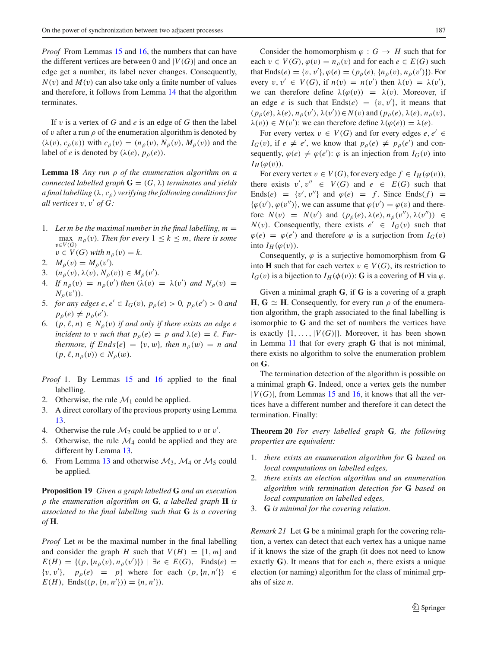*Proof* From Lemmas [15](#page-9-2) and [16,](#page-9-1) the numbers that can have the different vertices are between 0 and  $|V(G)|$  and once an edge get a number, its label never changes. Consequently,  $N(v)$  and  $M(v)$  can also take only a finite number of values and therefore, it follows from Lemma [14](#page-9-3) that the algorithm terminates.

If v is a vertex of *G* and *e* is an edge of *G* then the label of v after a run  $\rho$  of the enumeration algorithm is denoted by  $(\lambda(v), c_{\rho}(v))$  with  $c_{\rho}(v) = (n_{\rho}(v), N_{\rho}(v), M_{\rho}(v))$  and the label of *e* is denoted by  $(\lambda(e), p_{\rho}(e))$ .

**Lemma 18** *Any run* ρ *of the enumeration algorithm on a connected labelled graph*  $\mathbf{G} = (G, \lambda)$  *terminates and yields a final labelling* (λ, *c*ρ) *verifying the following conditions for all vertices*  $v, v'$  *of G:* 

- 1. Let m be the maximal number in the final labelling,  $m =$  $\max_{f \in V(G)} n_{\rho}(v)$ . Then for every  $1 \leq k \leq m$ , there is some  $v \in V(G)$  $v \in V(G)$  *with*  $n_o(v) = k$ .
- 2.  $M_{\rho}(v) = M_{\rho}(v').$
- 3.  $(n_{\rho}(v), \lambda(v), N_{\rho}(v)) \in M_{\rho}(v').$
- 4. If  $n_{\rho}(v) = n_{\rho}(v')$  then  $(\lambda(v) = \lambda(v')$  and  $N_{\rho}(v) =$  $N_\rho(v')$ ).
- 5. *for any edges e*,  $e' \in I_G(v)$ ,  $p_\rho(e) > 0$ ,  $p_\rho(e') > 0$  and  $p_{\rho}(e) \neq p_{\rho}(e').$
- 6.  $(p, \ell, n) \in N_\rho(v)$  *if and only if there exists an edge e incident to* v *such that*  $p_{\rho}(e) = p$  *and*  $\lambda(e) = \ell$ *. Furthermore, if Ends*{ $e$ } = {v, w}*, then*  $n<sub>\rho</sub>(w) = n$  *and*  $(p, \ell, n_\rho(v)) \in N_\rho(w)$ .

*Proof* 1. By Lemmas [15](#page-9-2) and [16](#page-9-1) applied to the final labelling.

- 2. Otherwise, the rule  $\mathcal{M}_1$  could be applied.
- 3. A direct corollary of the previous property using Lemma [13.](#page-9-0)
- 4. Otherwise the rule  $\mathcal{M}_2$  could be applied to v or v'.
- 5. Otherwise, the rule  $\mathcal{M}_4$  could be applied and they are different by Lemma [13.](#page-9-0)
- 6. From Lemma [13](#page-9-0) and otherwise  $M_3$ ,  $M_4$  or  $M_5$  could be applied.

**Proposition 19** *Given a graph labelled* **G** *and an execution* ρ *the enumeration algorithm on* **G***, a labelled graph* **H** *is associated to the final labelling such that* **G** *is a covering of* **H***.*

*Proof* Let *m* be the maximal number in the final labelling and consider the graph *H* such that  $V(H) = [1, m]$  and *E*(*H*) = {(*p*, { $n<sub>ρ</sub>(v)$ ,  $n<sub>ρ</sub>(v')$ }) | ∃*e* ∈ *E*(*G*), Ends(*e*) = {*v*, *v'*}, *p*<sub>*ρ*</sub>(*e*) = *p*} where for each (*p*, {*n*, *n'*}) ∈  $E(H)$ , Ends $((p, {n, n'})$ ) =  ${n, n'}$ .

Consider the homomorphism  $\varphi : G \to H$  such that for each  $v \in V(G)$ ,  $\varphi(v) = n_o(v)$  and for each  $e \in E(G)$  such that Ends(*e*) = {*v*, *v'*},  $\varphi$ (*e*) = ( $p_{\rho}$ (*e*), { $n_{\rho}$ (*v*),  $n_{\rho}$ (*v'*)}). For every  $v, v' \in V(G)$ , if  $n(v) = n(v')$  then  $\lambda(v) = \lambda(v')$ , we can therefore define  $\lambda(\varphi(v)) = \lambda(v)$ . Moreover, if an edge *e* is such that  $Ends(e) = \{v, v'\}$ , it means that  $(p_\rho(e), \lambda(e), n_\rho(v'), \lambda(v')) \in N(v)$  and  $(p_\rho(e), \lambda(e), n_\rho(v)),$  $\lambda(v) \in N(v')$ : we can therefore define  $\lambda(\varphi(e)) = \lambda(e)$ .

For every vertex  $v \in V(G)$  and for every edges  $e, e' \in$  $I_G(v)$ , if  $e \neq e'$ , we know that  $p_\rho(e) \neq p_\rho(e')$  and consequently,  $\varphi(e) \neq \varphi(e')$ :  $\varphi$  is an injection from *I<sub>G</sub>*(*v*) into  $I_H(\varphi(v))$ .

For every vertex  $v \in V(G)$ , for every edge  $f \in I_H(\varphi(v))$ , there exists  $v', v'' \in V(G)$  and  $e \in E(G)$  such that Ends(*e*) =  $\{v', v''\}$  and  $\varphi(e) = f$ . Since Ends(*f*) =  $\{\varphi(v'), \varphi(v'')\}$ , we can assume that  $\varphi(v') = \varphi(v)$  and therefore  $N(v) = N(v')$  and  $(p_\rho(e), \lambda(e), n_\rho(v''), \lambda(v'')) \in$ *N*(*v*). Consequently, there exists  $e' \in I_G(v)$  such that  $\varphi(e) = \varphi(e')$  and therefore  $\varphi$  is a surjection from  $I_G(v)$ into  $I_H(\varphi(v))$ .

Consequently,  $\varphi$  is a surjective homomorphism from **G** into **H** such that for each vertex  $v \in V(G)$ , its restriction to  $I_G(v)$  is a bijection to  $I_H(\phi(v))$ : **G** is a covering of **H** via  $\varphi$ .

Given a minimal graph **G**, if **G** is a covering of a graph **H**,  $G \simeq H$ . Consequently, for every run  $\rho$  of the enumeration algorithm, the graph associated to the final labelling is isomorphic to **G** and the set of numbers the vertices have is exactly  $\{1, \ldots, |V(G)|\}$ . Moreover, it has been shown in Lemma [11](#page-7-2) that for every graph **G** that is not minimal, there exists no algorithm to solve the enumeration problem on **G**.

The termination detection of the algorithm is possible on a minimal graph **G**. Indeed, once a vertex gets the number  $|V(G)|$ , from Lemmas [15](#page-9-2) and [16,](#page-9-1) it knows that all the vertices have a different number and therefore it can detect the termination. Finally:

**Theorem 20** *For every labelled graph* **G***, the following properties are equivalent:*

- 1. *there exists an enumeration algorithm for* **G** *based on local computations on labelled edges,*
- 2. *there exists an election algorithm and an enumeration algorithm with termination detection for* **G** *based on local computation on labelled edges,*
- 3. **G** *is minimal for the covering relation.*

*Remark 21* Let **G** be a minimal graph for the covering relation, a vertex can detect that each vertex has a unique name if it knows the size of the graph (it does not need to know exactly  $G$ ). It means that for each  $n$ , there exists a unique election (or naming) algorithm for the class of minimal grpahs of size *n*.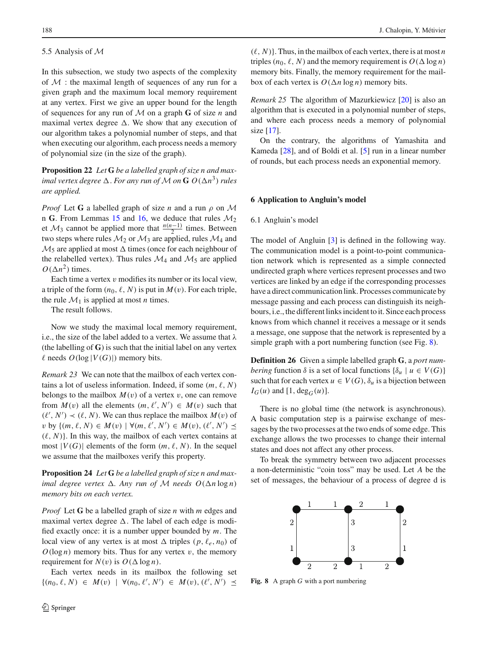#### 5.5 Analysis of M

In this subsection, we study two aspects of the complexity of  $M$  : the maximal length of sequences of any run for a given graph and the maximum local memory requirement at any vertex. First we give an upper bound for the length of sequences for any run of M on a graph **G** of size *n* and maximal vertex degree  $\Delta$ . We show that any execution of our algorithm takes a polynomial number of steps, and that when executing our algorithm, each process needs a memory of polynomial size (in the size of the graph).

**Proposition 22** *Let* **G** *be a labelled graph of size n and maximal vertex degree*  $\Delta$ *. For any run of* M *on* **G**  $O(\Delta n^3)$  *rules are applied.*

*Proof* Let **G** a labelled graph of size *n* and a run  $\rho$  on M n **G**. From Lemmas [15](#page-9-2) and [16,](#page-9-1) we deduce that rules  $M_2$ et  $\mathcal{M}_3$  cannot be applied more that  $\frac{n(n-1)}{2}$  times. Between two steps where rules  $\mathcal{M}_2$  or  $\mathcal{M}_3$  are applied, rules  $\mathcal{M}_4$  and  $\mathcal{M}_5$  are applied at most  $\Delta$  times (once for each neighbour of the relabelled vertex). Thus rules  $\mathcal{M}_4$  and  $\mathcal{M}_5$  are applied  $O(\Delta n^2)$  times.

Each time a vertex  $v$  modifies its number or its local view. a triple of the form  $(n_0, \ell, N)$  is put in  $M(v)$ . For each triple, the rule  $\mathcal{M}_1$  is applied at most *n* times.

The result follows.

Now we study the maximal local memory requirement, i.e., the size of the label added to a vertex. We assume that  $\lambda$ (the labelling of **G**) is such that the initial label on any vertex  $\ell$  needs  $O(\log |V(G)|)$  memory bits.

*Remark 23* We can note that the mailbox of each vertex contains a lot of useless information. Indeed, if some  $(m, \ell, N)$ belongs to the mailbox  $M(v)$  of a vertex v, one can remove from  $M(v)$  all the elements  $(m, \ell', N') \in M(v)$  such that  $(\ell', N') \prec (\ell, N)$ . We can thus replace the mailbox  $M(v)$  of  $v$  by  $\{(m, \ell, N) \in M(v) \mid \forall (m, \ell', N') \in M(v), (\ell', N') \leq$  $(\ell, N)$ . In this way, the mailbox of each vertex contains at most  $|V(G)|$  elements of the form  $(m, \ell, N)$ . In the sequel we assume that the mailboxes verify this property.

**Proposition 24** *Let* **G** *be a labelled graph of size n and maximal degree vertex*  $\Delta$ *. Any run of* M *needs*  $O(\Delta n \log n)$ *memory bits on each vertex.*

*Proof* Let **G** be a labelled graph of size *n* with *m* edges and maximal vertex degree  $\Delta$ . The label of each edge is modified exactly once: it is a number upper bounded by *m*. The local view of any vertex is at most  $\Delta$  triples (*p*,  $\ell_e$ ,  $n_0$ ) of  $O(\log n)$  memory bits. Thus for any vertex v, the memory requirement for  $N(v)$  is  $O(\Delta \log n)$ .

Each vertex needs in its mailbox the following set  $\{(n_0, \ell, N) \in M(v) \mid \forall (n_0, \ell', N') \in M(v), (\ell', N') \preceq$ 

 $(\ell, N)$ . Thus, in the mailbox of each vertex, there is at most *n* triples  $(n_0, \ell, N)$  and the memory requirement is  $O(\Delta \log n)$ memory bits. Finally, the memory requirement for the mailbox of each vertex is  $O(\Delta n \log n)$  memory bits.

*Remark 25* The algorithm of Mazurkiewicz [\[20\]](#page-19-7) is also an algorithm that is executed in a polynomial number of steps, and where each process needs a memory of polynomial size [\[17](#page-19-13)].

On the contrary, the algorithms of Yamashita and Kameda [\[28](#page-19-5)], and of Boldi et al. [\[5](#page-18-3)] run in a linear number of rounds, but each process needs an exponential memory.

#### <span id="page-11-0"></span>**6 Application to Angluin's model**

#### 6.1 Angluin's model

The model of Angluin [\[3\]](#page-18-1) is defined in the following way. The communication model is a point-to-point communication network which is represented as a simple connected undirected graph where vertices represent processes and two vertices are linked by an edge if the corresponding processes have a direct communication link. Processes communicate by message passing and each process can distinguish its neighbours, i.e., the different links incident to it. Since each process knows from which channel it receives a message or it sends a message, one suppose that the network is represented by a simple graph with a port numbering function (see Fig. [8\)](#page-11-1).

**Definition 26** Given a simple labelled graph **G**, a *port numbering* function  $\delta$  is a set of local functions  $\{\delta_u \mid u \in V(G)\}$ such that for each vertex  $u \in V(G)$ ,  $\delta_u$  is a bijection between  $I_G(u)$  and [1, deg<sub>*G*</sub>(*u*)].

There is no global time (the network is asynchronous). A basic computation step is a pairwise exchange of messages by the two processes at the two ends of some edge. This exchange allows the two processes to change their internal states and does not affect any other process.

To break the symmetry between two adjacent processes a non-deterministic "coin toss" may be used. Let *A* be the set of messages, the behaviour of a process of degree d is



<span id="page-11-1"></span>**Fig. 8** A graph *G* with a port numbering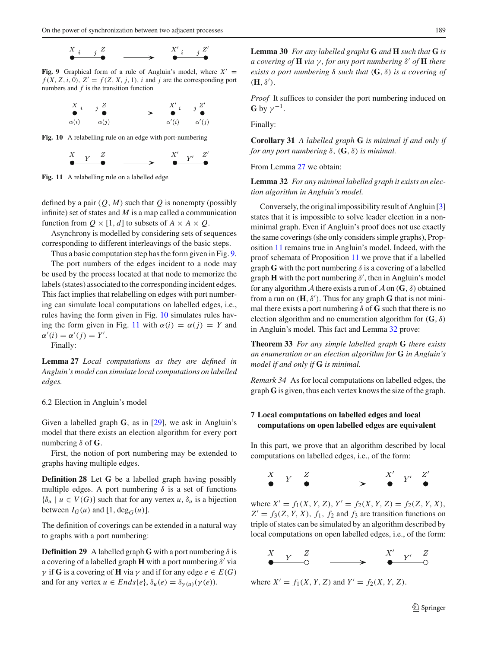

<span id="page-12-2"></span>**Fig. 9** Graphical form of a rule of Angluin's model, where  $X' =$  $f(X, Z, i, 0), Z' = f(Z, X, j, 1), i$  and *j* are the corresponding port numbers and *f* is the transition function



<span id="page-12-3"></span>**Fig. 10** A relabelling rule on an edge with port-numbering



<span id="page-12-4"></span>Fig. 11 A relabelling rule on a labelled edge

defined by a pair  $(Q, M)$  such that  $Q$  is nonempty (possibly infinite) set of states and *M* is a map called a communication function from  $Q \times [1, d]$  to subsets of  $A \times A \times Q$ .

Asynchrony is modelled by considering sets of sequences corresponding to different interleavings of the basic steps.

Thus a basic computation step has the form given in Fig. [9.](#page-12-2) The port numbers of the edges incident to a node may be used by the process located at that node to memorize the labels (states) associated to the corresponding incident edges. This fact implies that relabelling on edges with port numbering can simulate local computations on labelled edges, i.e., rules having the form given in Fig. [10](#page-12-3) simulates rules hav-ing the form given in Fig. [11](#page-12-4) with  $\alpha(i) = \alpha(j) = Y$  and

<span id="page-12-5"></span> $\alpha'(i) = \alpha'(j) = Y'.$ Finally:

**Lemma 27** *Local computations as they are defined in Angluin's model can simulate local computations on labelled edges.*

# 6.2 Election in Angluin's model

Given a labelled graph **G**, as in [\[29\]](#page-19-6), we ask in Angluin's model that there exists an election algorithm for every port numbering δ of **G**.

First, the notion of port numbering may be extended to graphs having multiple edges.

**Definition 28** Let **G** be a labelled graph having possibly multiple edges. A port numbering  $\delta$  is a set of functions  ${\delta_u \mid u \in V(G)}$  such that for any vertex *u*,  $\delta_u$  is a bijection between  $I_G(u)$  and [1, deg<sub>G</sub>(*u*)].

The definition of coverings can be extended in a natural way to graphs with a port numbering:

**Definition 29** A labelled graph **G** with a port numbering  $\delta$  is a covering of a labelled graph **H** with a port numbering  $\delta'$  via *γ* if **G** is a covering of **H** via *γ* and if for any edge *e* ∈ *E*(*G*) and for any vertex  $u \in Ends\{e\}, \delta_u(e) = \delta_{\gamma(u)}(\gamma(e)).$ 

**Lemma 30** *For any labelled graphs* **G** *and* **H** *such that* **G** *is a covering of* **H** *via* γ *, for any port numbering* δ! *of* **H** *there exists a port numbering* δ *such that* (**G**, δ) *is a covering of*

*Proof* It suffices to consider the port numbering induced on **G** by  $\gamma^{-1}$ .

Finally:

 $(\mathbf{H}, \delta').$ 

**Corollary 31** *A labelled graph* **G** *is minimal if and only if for any port numbering* δ, (**G**, δ) *is minimal.*

<span id="page-12-1"></span>From Lemma [27](#page-12-5) we obtain:

**Lemma 32** *For any minimal labelled graph it exists an election algorithm in Angluin's model.*

Conversely, the original impossibility result of Angluin [\[3\]](#page-18-1) states that it is impossible to solve leader election in a nonminimal graph. Even if Angluin's proof does not use exactly the same coverings (she only considers simple graphs), Proposition [11](#page-7-2) remains true in Angluin's model. Indeed, with the proof schemata of Proposition [11](#page-7-2) we prove that if a labelled graph **G** with the port numbering  $\delta$  is a covering of a labelled graph **H** with the port numbering  $\delta'$ , then in Angluin's model for any algorithm  $\mathcal A$  there exists a run of  $\mathcal A$  on  $(\mathbb G, \delta)$  obtained from a run on  $(H, \delta')$ . Thus for any graph G that is not minimal there exists a port numbering  $\delta$  of **G** such that there is no election algorithm and no enumeration algorithm for  $(G, \delta)$ in Angluin's model. This fact and Lemma [32](#page-12-1) prove:

**Theorem 33** *For any simple labelled graph* **G** *there exists an enumeration or an election algorithm for* **G** *in Angluin's model if and only if* **G** *is minimal.*

*Remark 34* As for local computations on labelled edges, the graph**G** is given, thus each vertex knows the size of the graph.

# <span id="page-12-0"></span>**7 Local computations on labelled edges and local computations on open labelled edges are equivalent**

In this part, we prove that an algorithm described by local computations on labelled edges, i.e., of the form:



where  $X' = f_1(X, Y, Z), Y' = f_2(X, Y, Z) = f_2(Z, Y, X)$ ,  $Z' = f_3(Z, Y, X), f_1, f_2$  and  $f_3$  are transition functions on triple of states can be simulated by an algorithm described by local computations on open labelled edges, i.e., of the form:



where  $X' = f_1(X, Y, Z)$  and  $Y' = f_2(X, Y, Z)$ .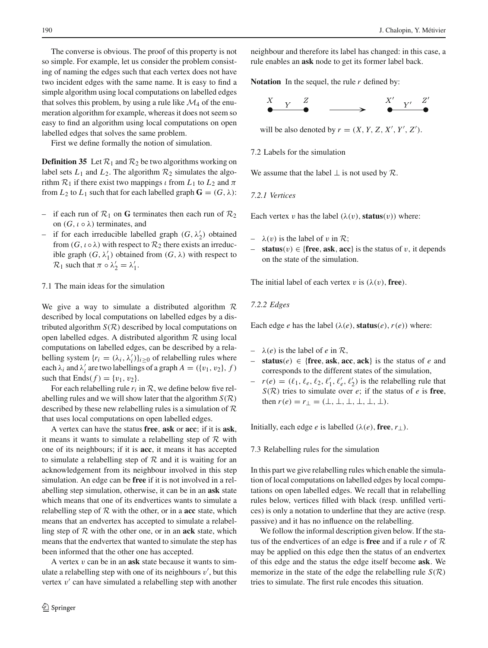The converse is obvious. The proof of this property is not so simple. For example, let us consider the problem consisting of naming the edges such that each vertex does not have two incident edges with the same name. It is easy to find a simple algorithm using local computations on labelled edges that solves this problem, by using a rule like  $\mathcal{M}_4$  of the enumeration algorithm for example, whereas it does not seem so easy to find an algorithm using local computations on open labelled edges that solves the same problem.

First we define formally the notion of simulation.

**Definition 35** Let  $\mathcal{R}_1$  and  $\mathcal{R}_2$  be two algorithms working on label sets  $L_1$  and  $L_2$ . The algorithm  $\mathcal{R}_2$  simulates the algorithm  $\mathcal{R}_1$  if there exist two mappings  $\iota$  from  $L_1$  to  $L_2$  and  $\pi$ from  $L_2$  to  $L_1$  such that for each labelled graph  $\mathbf{G} = (G, \lambda)$ :

- if each run of  $\mathcal{R}_1$  on **G** terminates then each run of  $\mathcal{R}_2$ on  $(G, \iota \circ \lambda)$  terminates, and
- $-$  if for each irreducible labelled graph  $(G, \lambda'_2)$  obtained from  $(G, \iota \circ \lambda)$  with respect to  $\mathcal{R}_2$  there exists an irreducible graph  $(G, \lambda'_1)$  obtained from  $(G, \lambda)$  with respect to  $\mathcal{R}_1$  such that  $\pi \circ \lambda'_2 = \lambda'_1$ .

# 7.1 The main ideas for the simulation

We give a way to simulate a distributed algorithm  $\mathcal R$ described by local computations on labelled edges by a distributed algorithm  $S(\mathcal{R})$  described by local computations on open labelled edges. A distributed algorithm  $R$  using local computations on labelled edges, can be described by a relabelling system  $\{r_i = (\lambda_i, \lambda'_i)\}_{i \geq 0}$  of relabelling rules where each  $\lambda_i$  and  $\lambda'_i$  are two labellings of a graph  $A = (\{v_1, v_2\}, f)$ such that  $\text{Ends}(f) = \{v_1, v_2\}.$ 

For each relabelling rule  $r_i$  in  $\mathcal{R}$ , we define below five relabelling rules and we will show later that the algorithm  $S(\mathcal{R})$ described by these new relabelling rules is a simulation of  $\mathcal R$ that uses local computations on open labelled edges.

A vertex can have the status **free**, **ask** or **acc**; if it is **ask**, it means it wants to simulate a relabelling step of  $R$  with one of its neighbours; if it is **acc**, it means it has accepted to simulate a relabelling step of  $R$  and it is waiting for an acknowledgement from its neighbour involved in this step simulation. An edge can be **free** if it is not involved in a relabelling step simulation, otherwise, it can be in an **ask** state which means that one of its endvertices wants to simulate a relabelling step of  $R$  with the other, or in a **acc** state, which means that an endvertex has accepted to simulate a relabelling step of  $R$  with the other one, or in an **ack** state, which means that the endvertex that wanted to simulate the step has been informed that the other one has accepted.

A vertex v can be in an **ask** state because it wants to simulate a relabelling step with one of its neighbours  $v'$ , but this vertex  $v'$  can have simulated a relabelling step with another neighbour and therefore its label has changed: in this case, a rule enables an **ask** node to get its former label back.

**Notation** In the sequel, the rule *r* defined by:



will be also denoted by  $r = (X, Y, Z, X', Y', Z').$ 

7.2 Labels for the simulation

We assume that the label  $\perp$  is not used by  $\mathcal{R}$ .

*7.2.1 Vertices*

Each vertex v has the label  $(\lambda(v),$ **status** $(v)$ ) where:

- λ(v) is the label of v in R;
- **status** $(v) \in \{\text{free, ask, acc}\}\$ is the status of v, it depends on the state of the simulation.

The initial label of each vertex v is  $(\lambda(v),$  free).

#### *7.2.2 Edges*

Each edge *e* has the label ( $\lambda(e)$ , **status**(*e*), *r*(*e*)) where:

- λ(*e*) is the label of *e* in R,
- **status**( $e$ )  $\in$  {**free**, **ask**, **acc**, **ack**} is the status of *e* and corresponds to the different states of the simulation,
- $r(e) = (\ell_1, \ell_e, \ell_2, \ell'_1, \ell'_e, \ell'_2)$  is the relabelling rule that  $S(R)$  tries to simulate over *e*; if the status of *e* is **free**, then  $r(e) = r_{\perp} = (\perp, \perp, \perp, \perp, \perp, \perp)$ .

Initially, each edge *e* is labelled ( $\lambda(e)$ , free,  $r_{\perp}$ ).

#### 7.3 Relabelling rules for the simulation

In this part we give relabelling rules which enable the simulation of local computations on labelled edges by local computations on open labelled edges. We recall that in relabelling rules below, vertices filled with black (resp. unfilled vertices) is only a notation to underline that they are active (resp. passive) and it has no influence on the relabelling.

We follow the informal description given below. If the status of the endvertices of an edge is **free** and if a rule *r* of R may be applied on this edge then the status of an endvertex of this edge and the status the edge itself become **ask**. We memorize in the state of the edge the relabelling rule  $S(\mathcal{R})$ tries to simulate. The first rule encodes this situation.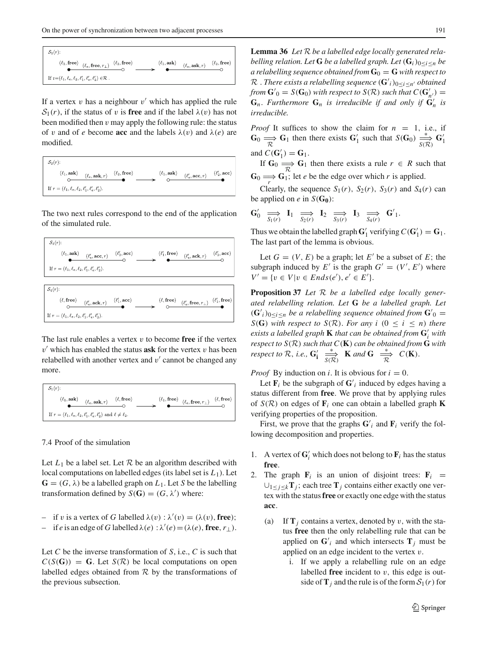

If a vertex  $v$  has a neighbour  $v'$  which has applied the rule  $S_1(r)$ , if the status of v is **free** and if the label  $\lambda(v)$  has not been modified then  $v$  may apply the following rule: the status of v and of *e* become **acc** and the labels  $\lambda(v)$  and  $\lambda(e)$  are modified.



The two next rules correspond to the end of the application of the simulated rule.



The last rule enables a vertex  $v$  to become free if the vertex  $v'$  which has enabled the status **ask** for the vertex v has been relabelled with another vertex and  $v'$  cannot be changed any more.



#### 7.4 Proof of the simulation

Let  $L_1$  be a label set. Let  $R$  be an algorithm described with local computations on labelled edges (its label set is *L*1). Let  $\mathbf{G} = (G, \lambda)$  be a labelled graph on  $L_1$ . Let *S* be the labelling transformation defined by  $S(G) = (G, \lambda')$  where:

- $-$  if v is a vertex of *G* labelled  $\lambda(v)$  :  $\lambda'(v) = (\lambda(v), \text{free})$ ;
- $-$  if *e* is an edge of *G* labelled  $\lambda(e)$  :  $\lambda'(e) = (\lambda(e),$  free,  $r_{\perp})$ .

Let *C* be the inverse transformation of *S*, i.e., *C* is such that  $C(S(G)) = G$ . Let  $S(R)$  be local computations on open labelled edges obtained from  $R$  by the transformations of the previous subsection.

<span id="page-14-0"></span>**Lemma 36** *Let* R *be a labelled edge locally generated relabelling relation. Let* **G** *be a labelled graph. Let*  $(G_i)_{0 \leq i \leq n}$  *be a relabelling sequence obtained from*  $G_0 = G$  *with respect to*  $\mathcal{R}$  . There exists a relabelling sequence  $(\mathbf{G'}_i)_{0 \leq i \leq n'}$  obtained *from*  $\mathbf{G}'_0 = S(\mathbf{G}_0)$  *with respect to*  $S(\mathcal{R})$  *such that*  $C(\mathbf{G}'_{n'}) = \mathbf{G}'(n)$  $\mathbf{G}_n$ . *Furthermore*  $\mathbf{G}_n$  *is irreducible if and only if*  $\mathbf{G}'_n$  *is irreducible.*

*Proof* It suffices to show the claim for  $n = 1$ , i.e., if  $\mathbf{G}_0 \Longrightarrow$ **G**<sub>1</sub> then there exists **G**<sup>'</sup><sub>1</sub> such that  $S(\mathbf{G}_0) \stackrel{*}{\Longrightarrow}$ **G**<sup>'</sup><sub>1</sub> and  $C(G'_1) = G_1$ .

If  $G_0 \implies G_1$  then there exists a rule  $r \in R$  such that  $G_0 \Longrightarrow G_1$ ; let *e* be the edge over which *r* is applied.

Clearly, the sequence  $S_1(r)$ ,  $S_2(r)$ ,  $S_3(r)$  and  $S_4(r)$  can be applied on *e* in  $S(G_0)$ :

$$
\mathbf{G}'_0 \quad \underset{S_1(r)}{\Longrightarrow} \quad \mathbf{I}_1 \quad \underset{S_2(r)}{\Longrightarrow} \quad \mathbf{I}_2 \quad \underset{S_3(r)}{\Longrightarrow} \quad \mathbf{I}_3 \quad \underset{S_4(r)}{\Longrightarrow} \quad \mathbf{G}'_1.
$$

Thus we obtain the labelled graph  $G'_{1}$  verifying  $C(G'_{1}) = G_{1}$ . The last part of the lemma is obvious.

Let  $G = (V, E)$  be a graph; let  $E'$  be a subset of  $E$ ; the subgraph induced by  $E'$  is the graph  $G' = (V', E')$  where  $V' = \{v \in V | v \in End(s(e'), e' \in E'\}.$ 

**Proposition 37** *Let* R *be a labelled edge locally generated relabelling relation. Let* **G** *be a labelled graph. Let*  $(\mathbf{G}'_i)_{0 \leq i \leq n}$  *be a relabelling sequence obtained from*  $\mathbf{G}'_0$  = *S*(**G**) *with respect to S*(*R*). *For any i* ( $0 \le i \le n$ ) *there exists a labelled graph*  $\bf{K}$  *that can be obtained from*  $\bf{G}'_i$  *with respect to S*(R) *such that C*(**K**) *can be obtained from* **G** *with respect to*  $\mathcal{R}$ , *i.e.*,  $G'_{i} \implies \underset{S(\mathcal{R})}{\Longrightarrow}$  **K** and  $G \implies \underset{\mathcal{R}}{\Longrightarrow}$ *C*(**K**).

*Proof* By induction on *i*. It is obvious for  $i = 0$ .

Let  $\mathbf{F}_i$  be the subgraph of  $\mathbf{G}'_i$  induced by edges having a status different from **free**. We prove that by applying rules of  $S(\mathcal{R})$  on edges of  $\mathbf{F}_i$  one can obtain a labelled graph **K** verifying properties of the proposition.

First, we prove that the graphs  $G'$ *i* and  $F$ *i* verify the following decomposition and properties.

- 1. A vertex of  $G_i'$  which does not belong to  $F_i$  has the status **free**.
- 2. The graph  $\mathbf{F}_i$  is an union of disjoint trees:  $\mathbf{F}_i$  =  $\bigcup_{1 \leq i \leq k} T_i$ ; each tree  $T_i$  contains either exactly one vertex with the status**free** or exactly one edge with the status **acc**.
	- (a) If  $\mathbf{T}_i$  contains a vertex, denoted by v, with the status **free** then the only relabelling rule that can be applied on  $\mathbf{G}'_i$  and which intersects  $\mathbf{T}_j$  must be applied on an edge incident to the vertex  $v$ .
		- i. If we apply a relabelling rule on an edge labelled **free** incident to v, this edge is outside of **T**<sub>*j*</sub> and the rule is of the form  $S_1(r)$  for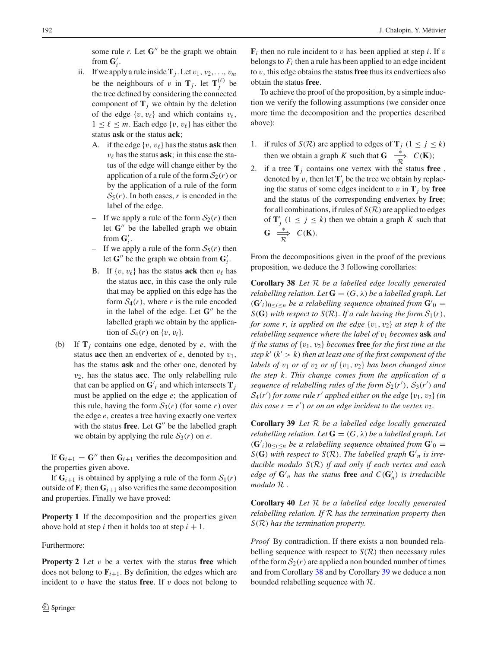some rule  $r$ . Let  $G''$  be the graph we obtain from  $G_i'$ .

- ii. If we apply a rule inside  $\mathbf{T}_i$ . Let  $v_1, v_2, \ldots, v_m$ be the neighbours of v in  $\mathbf{T}_j$ . let  $\mathbf{T}_j^{(\ell)}$  be the tree defined by considering the connected component of  $\mathbf{T}_i$  we obtain by the deletion of the edge  $\{v, v_{\ell}\}\$  and which contains  $v_{\ell}$ ,  $1 \leq \ell \leq m$ . Each edge  $\{v, v_{\ell}\}\$  has either the status **ask** or the status **ack**;
	- A. if the edge  $\{v, v_{\ell}\}\$  has the status **ask** then  $v_\ell$  has the status **ask**; in this case the status of the edge will change either by the application of a rule of the form  $S_2(r)$  or by the application of a rule of the form  $S_5(r)$ . In both cases, *r* is encoded in the label of the edge.
	- If we apply a rule of the form  $S_2(r)$  then let  $G''$  be the labelled graph we obtain from  $G_i'$ .
	- If we apply a rule of the form  $S_5(r)$  then let  $G''$  be the graph we obtain from  $G'_i$ .
	- B. If  $\{v, v_{\ell}\}\$  has the status **ack** then  $v_{\ell}$  has the status **acc**, in this case the only rule that may be applied on this edge has the form  $S_4(r)$ , where r is the rule encoded in the label of the edge. Let  $G''$  be the labelled graph we obtain by the application of  $S_4(r)$  on  $\{v, v_l\}$ .
- (b) If **T***<sup>j</sup>* contains one edge, denoted by *e*, with the status **acc** then an endvertex of  $e$ , denoted by  $v_1$ , has the status **ask** and the other one, denoted by  $v_2$ , has the status **acc**. The only relabelling rule that can be applied on  $\mathbf{G}'_i$  and which intersects  $\mathbf{T}_j$ must be applied on the edge *e*; the application of this rule, having the form  $S_3(r)$  (for some *r*) over the edge *e*, creates a tree having exactly one vertex with the status **free**. Let G" be the labelled graph we obtain by applying the rule  $S_3(r)$  on *e*.

If  $G_{i+1} = G''$  then  $G_{i+1}$  verifies the decomposition and the properties given above.

If  $G_{i+1}$  is obtained by applying a rule of the form  $S_1(r)$ outside of  $\mathbf{F}_i$  then  $\mathbf{G}_{i+1}$  also verifies the same decomposition and properties. Finally we have proved:

**Property 1** If the decomposition and the properties given above hold at step *i* then it holds too at step  $i + 1$ .

Furthermore:

**Property 2** Let v be a vertex with the status **free** which does not belong to  $\mathbf{F}_{i+1}$ . By definition, the edges which are incident to  $v$  have the status **free**. If  $v$  does not belong to  $\mathbf{F}_i$  then no rule incident to v has been applied at step *i*. If v belongs to  $F_i$  then a rule has been applied to an edge incident to v, this edge obtains the status**free** thus its endvertices also obtain the status **free**.

To achieve the proof of the proposition, by a simple induction we verify the following assumptions (we consider once more time the decomposition and the properties described above):

- 1. if rules of *S*(*R*) are applied to edges of **T**<sub>*j*</sub> ( $1 \le j \le k$ ) then we obtain a graph *K* such that **G**  $\Rightarrow$   $\Rightarrow$   $C(\mathbf{K})$ ;
- 2. if a tree  $\mathbf{T}_j$  contains one vertex with the status free, denoted by v, then let  $\mathbf{T}'_j$  be the tree we obtain by replacing the status of some edges incident to  $v$  in  $\mathbf{T}_i$  by free and the status of the corresponding endvertex by **free**; for all combinations, if rules of  $S(\mathcal{R})$  are applied to edges of  $\mathbf{T}'_j$  ( $1 \leq j \leq k$ ) then we obtain a graph *K* such that  $G \Rightarrow \frac{1}{\mathcal{R}}$ *C*(**K**).

<span id="page-15-1"></span>From the decompositions given in the proof of the previous proposition, we deduce the 3 following corollaries:

**Corollary 38** *Let* R *be a labelled edge locally generated relabelling relation. Let*  $G = (G, \lambda)$  *be a labelled graph. Let*  $(\mathbf{G}'_i)_{0 \leq i \leq n}$  *be a relabelling sequence obtained from*  $\mathbf{G}'_0$  =  $S(G)$  *with respect to*  $S(R)$ *. If a rule having the form*  $S_1(r)$ *, for some r, is applied on the edge*  $\{v_1, v_2\}$  *at step k of the relabelling sequence where the label of*  $v_1$  *becomes* **ask** *and if the status of* {v1, v2} *becomes* **free** *for the first time at the step*  $k'$   $(k' > k)$  *then at least one of the first component of the labels of*  $v_1$  *or of*  $v_2$  *or of*  $\{v_1, v_2\}$  *has been changed since the step k*. *This change comes from the application of a sequence of relabelling rules of the form*  $S_2(r')$ ,  $S_3(r')$  *and*  $\mathcal{S}_4(r')$  for some rule r' applied either on the edge  $\{v_1, v_2\}$  (in *this case*  $r = r'$ *) or on an edge incident to the vertex*  $v_2$ *.* 

<span id="page-15-0"></span>**Corollary 39** *Let* R *be a labelled edge locally generated relabelling relation. Let*  $G = (G, \lambda)$  *be a labelled graph. Let*  $(\mathbf{G}'_i)_{0 \leq i \leq n}$  *be a relabelling sequence obtained from*  $\mathbf{G}'_0$  = *S*(**G**) *with respect to S*(*R*). *The labelled graph*  $G'_n$  *is irreducible modulo S*(R) *if and only if each vertex and each edge of*  $G'_n$  *has the status* **free** *and*  $C(G'_n)$  *is irreducible modulo* R .

**Corollary 40** *Let* R *be a labelled edge locally generated relabelling relation. If* R *has the termination property then S*(R) *has the termination property.*

*Proof* By contradiction. If there exists a non bounded relabelling sequence with respect to  $S(\mathcal{R})$  then necessary rules of the form  $S_2(r)$  are applied a non bounded number of times and from Corollary [38](#page-15-1) and by Corollary [39](#page-15-0) we deduce a non bounded relabelling sequence with R.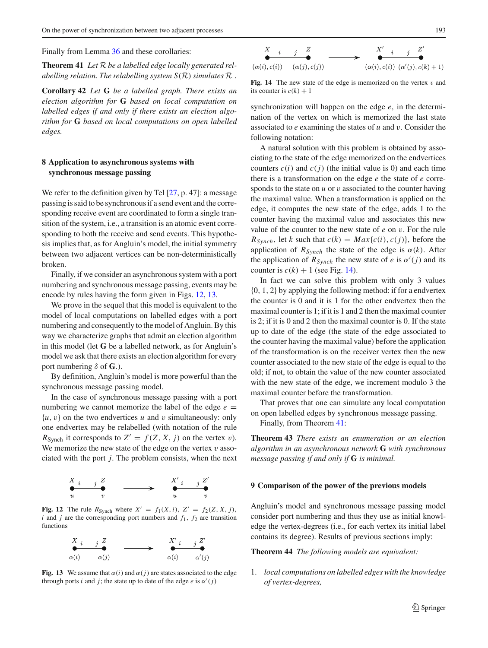<span id="page-16-2"></span>Finally from Lemma [36](#page-14-0) and these corollaries:

**Theorem 41** *Let* R *be a labelled edge locally generated relabelling relation. The relabelling system S*(R)*simulates* R .

**Corollary 42** *Let* **G** *be a labelled graph. There exists an election algorithm for* **G** *based on local computation on labelled edges if and only if there exists an election algorithm for* **G** *based on local computations on open labelled edges.*

# <span id="page-16-0"></span>**8 Application to asynchronous systems with synchronous message passing**

We refer to the definition given by Tel [\[27](#page-19-2), p. 47]: a message passing is said to be synchronous if a send event and the corresponding receive event are coordinated to form a single transition of the system, i.e., a transition is an atomic event corresponding to both the receive and send events. This hypothesis implies that, as for Angluin's model, the initial symmetry between two adjacent vertices can be non-deterministically broken.

Finally, if we consider an asynchronous system with a port numbering and synchronous message passing, events may be encode by rules having the form given in Figs. [12,](#page-16-3) [13.](#page-16-4)

We prove in the sequel that this model is equivalent to the model of local computations on labelled edges with a port numbering and consequently to the model of Angluin. By this way we characterize graphs that admit an election algorithm in this model (let **G** be a labelled network, as for Angluin's model we ask that there exists an election algorithm for every port numbering  $\delta$  of **G**.).

By definition, Angluin's model is more powerful than the synchronous message passing model.

In the case of synchronous message passing with a port numbering we cannot memorize the label of the edge  $e =$  $\{u, v\}$  on the two endvertices  $u$  and  $v$  simultaneously: only one endvertex may be relabelled (with notation of the rule *R*<sub>Synch</sub> it corresponds to  $Z' = f(Z, X, j)$  on the vertex v). We memorize the new state of the edge on the vertex  $v$  associated with the port *j*. The problem consists, when the next



<span id="page-16-3"></span>**Fig. 12** The rule  $R_{\text{Synch}}$  where  $X' = f_1(X, i)$ ,  $Z' = f_2(Z, X, j)$ , *i* and *j* are the corresponding port numbers and  $f_1$ ,  $f_2$  are transition functions



<span id="page-16-4"></span>**Fig. 13** We assume that  $\alpha(i)$  and  $\alpha(j)$  are states associated to the edge through ports *i* and *j*; the state up to date of the edge *e* is  $\alpha'(j)$ 



<span id="page-16-5"></span>Fig. 14 The new state of the edge is memorized on the vertex v and its counter is  $c(k) + 1$ 

synchronization will happen on the edge *e*, in the determination of the vertex on which is memorized the last state associated to *e* examining the states of *u* and v. Consider the following notation:

A natural solution with this problem is obtained by associating to the state of the edge memorized on the endvertices counters  $c(i)$  and  $c(j)$  (the initial value is 0) and each time there is a transformation on the edge *e* the state of *e* corresponds to the state on *u* or *v* associated to the counter having the maximal value. When a transformation is applied on the edge, it computes the new state of the edge, adds 1 to the counter having the maximal value and associates this new value of the counter to the new state of *e* on v. For the rule  $R_{Sunch}$ , let *k* such that  $c(k) = Max\{c(i), c(j)\}$ , before the application of  $R_{Synch}$  the state of the edge is  $\alpha(k)$ . After the application of  $R_{Synch}$  the new state of *e* is  $\alpha'(j)$  and its counter is  $c(k) + 1$  (see Fig. [14\)](#page-16-5).

In fact we can solve this problem with only 3 values {0, 1, 2} by applying the following method: if for a endvertex the counter is 0 and it is 1 for the other endvertex then the maximal counter is 1; if it is 1 and 2 then the maximal counter is 2; if it is 0 and 2 then the maximal counter is 0. If the state up to date of the edge (the state of the edge associated to the counter having the maximal value) before the application of the transformation is on the receiver vertex then the new counter associated to the new state of the edge is equal to the old; if not, to obtain the value of the new counter associated with the new state of the edge, we increment modulo 3 the maximal counter before the transformation.

That proves that one can simulate any local computation on open labelled edges by synchronous message passing.

Finally, from Theorem [41:](#page-16-2)

**Theorem 43** *There exists an enumeration or an election algorithm in an asynchronous network* **G** *with synchronous message passing if and only if* **G** *is minimal.*

# <span id="page-16-1"></span>**9 Comparison of the power of the previous models**

Angluin's model and synchronous message passing model consider port numbering and thus they use as initial knowledge the vertex-degrees (i.e., for each vertex its initial label contains its degree). Results of previous sections imply:

**Theorem 44** *The following models are equivalent:*

1. *local computations on labelled edges with the knowledge of vertex-degrees,*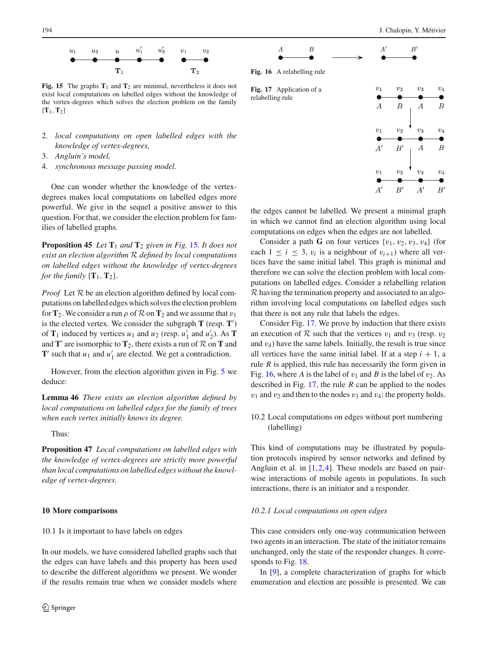

<span id="page-17-1"></span>**Fig. 15** The graphs  $T_1$  and  $T_2$  are minimal, nevertheless it does not exist local computations on labelled edges without the knowledge of the vertex-degrees which solves the election problem on the family {**T**1,**T**2}

- 2. *local computations on open labelled edges with the knowledge of vertex-degrees,*
- 3. *Angluin's model,*
- 4. *synchronous message passing model.*

One can wonder whether the knowledge of the vertexdegrees makes local computations on labelled edges more powerful. We give in the sequel a positive answer to this question. For that, we consider the election problem for families of labelled graphs.

**Proposition 45** *Let* **T**<sup>1</sup> *and* **T**<sup>2</sup> *given in Fig.* [15](#page-17-1)*. It does not exist an election algorithm* R *defined by local computations on labelled edges without the knowledge of vertex-degrees for the family*  $\{T_1, T_2\}$ .

*Proof* Let  $R$  be an election algorithm defined by local computations on labelled edges which solves the election problem for **T**<sub>2</sub>. We consider a run  $\rho$  of  $\mathcal{R}$  on **T**<sub>2</sub> and we assume that  $v_1$ is the elected vertex. We consider the subgraph  $T$  (resp.  $T'$ ) of  $\mathbf{T}_1$  induced by vertices  $u_1$  and  $u_2$  (resp.  $u'_1$  and  $u'_2$ ). As  $\mathbf{T}$ and **T**' are isomorphic to **T**<sub>2</sub>, there exists a run of  $R$  on **T** and **T**' such that  $u_1$  and  $u'_1$  are elected. We get a contradiction.

However, from the election algorithm given in Fig. [5](#page-6-2) we deduce:

**Lemma 46** *There exists an election algorithm defined by local computations on labelled edges for the family of trees when each vertex initially knows its degree.*

Thus:

**Proposition 47** *Local computations on labelled edges with the knowledge of vertex-degrees are strictly more powerful than local computations on labelled edges without the knowledge of vertex-degrees.*

#### <span id="page-17-0"></span>**10 More comparisons**

10.1 Is it important to have labels on edges

In our models, we have considered labelled graphs such that the edges can have labels and this property has been used to describe the different algorithms we present. We wonder if the results remain true when we consider models where

<span id="page-17-3"></span><span id="page-17-2"></span>

the edges cannot be labelled. We present a minimal graph in which we cannot find an election algorithm using local computations on edges when the edges are not labelled.

Consider a path **G** on four vertices  $\{v_1, v_2, v_3, v_4\}$  (for each  $1 \le i \le 3$ ,  $v_i$  is a neighbour of  $v_{i+1}$ ) where all vertices have the same initial label. This graph is minimal and therefore we can solve the election problem with local computations on labelled edges. Consider a relabelling relation R having the termination property and associated to an algorithm involving local computations on labelled edges such that there is not any rule that labels the edges.

Consider Fig. [17.](#page-17-2) We prove by induction that there exists an execution of R such that the vertices  $v_1$  and  $v_3$  (resp.  $v_2$ ) and  $v_4$ ) have the same labels. Initially, the result is true since all vertices have the same initial label. If at a step  $i + 1$ , a rule *R* is applied, this rule has necessarily the form given in Fig. [16,](#page-17-3) where *A* is the label of  $v_1$  and *B* is the label of  $v_2$ . As described in Fig. [17,](#page-17-2) the rule *R* can be applied to the nodes  $v_1$  and  $v_2$  and then to the nodes  $v_3$  and  $v_4$ : the property holds.

10.2 Local computations on edges without port numbering (labelling)

This kind of computations may be illustrated by population protocols inspired by sensor networks and defined by Angluin et al. in  $[1,2,4]$  $[1,2,4]$  $[1,2,4]$  $[1,2,4]$ . These models are based on pairwise interactions of mobile agents in populations. In such interactions, there is an initiator and a responder.

#### *10.2.1 Local computations on open edges*

This case considers only one-way communication between two agents in an interaction. The state of the initiator remains unchanged, only the state of the responder changes. It corresponds to Fig. [18.](#page-18-13)

In [\[9\]](#page-18-4), a complete characterization of graphs for which enumeration and election are possible is presented. We can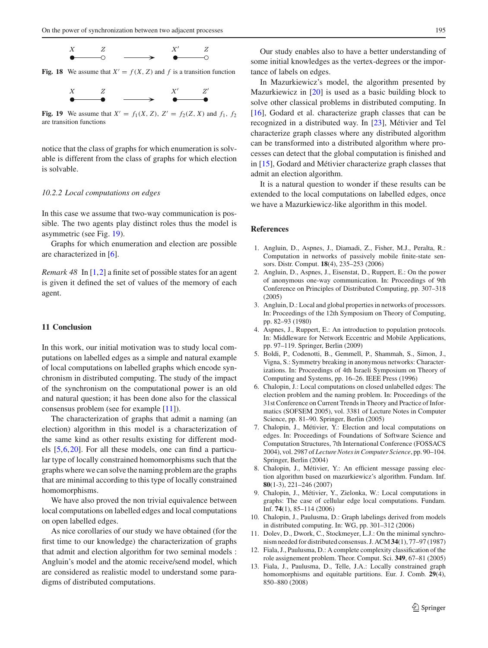

<span id="page-18-13"></span>**Fig. 18** We assume that  $X' = f(X, Z)$  and *f* is a transition function



<span id="page-18-14"></span>**Fig. 19** We assume that  $X' = f_1(X, Z)$ ,  $Z' = f_2(Z, X)$  and  $f_1, f_2$ are transition functions

notice that the class of graphs for which enumeration is solvable is different from the class of graphs for which election is solvable.

#### *10.2.2 Local computations on edges*

In this case we assume that two-way communication is possible. The two agents play distinct roles thus the model is asymmetric (see Fig. [19\)](#page-18-14).

Graphs for which enumeration and election are possible are characterized in [\[6\]](#page-18-5).

*Remark 48* In [\[1](#page-18-11)[,2](#page-18-12)] a finite set of possible states for an agent is given it defined the set of values of the memory of each agent.

# <span id="page-18-9"></span>**11 Conclusion**

In this work, our initial motivation was to study local computations on labelled edges as a simple and natural example of local computations on labelled graphs which encode synchronism in distributed computing. The study of the impact of the synchronism on the computational power is an old and natural question; it has been done also for the classical consensus problem (see for example [\[11\]](#page-18-15)).

The characterization of graphs that admit a naming (an election) algorithm in this model is a characterization of the same kind as other results existing for different models [\[5](#page-18-3)[,6](#page-18-5),[20\]](#page-19-7). For all these models, one can find a particular type of locally constrained homomorphisms such that the graphs where we can solve the naming problem are the graphs that are minimal according to this type of locally constrained homomorphisms.

We have also proved the non trivial equivalence between local computations on labelled edges and local computations on open labelled edges.

As nice corollaries of our study we have obtained (for the first time to our knowledge) the characterization of graphs that admit and election algorithm for two seminal models : Angluin's model and the atomic receive/send model, which are considered as realistic model to understand some paradigms of distributed computations.

Our study enables also to have a better understanding of some initial knowledges as the vertex-degrees or the importance of labels on edges.

In Mazurkiewicz's model, the algorithm presented by Mazurkiewicz in [\[20](#page-19-7)] is used as a basic building block to solve other classical problems in distributed computing. In [\[16](#page-19-9)], Godard et al. characterize graph classes that can be recognized in a distributed way. In [\[23](#page-19-15)], Métivier and Tel characterize graph classes where any distributed algorithm can be transformed into a distributed algorithm where processes can detect that the global computation is finished and in [\[15\]](#page-19-14), Godard and Métivier characterize graph classes that admit an election algorithm.

It is a natural question to wonder if these results can be extended to the local computations on labelled edges, once we have a Mazurkiewicz-like algorithm in this model.

#### **References**

- <span id="page-18-11"></span>1. Angluin, D., Aspnes, J., Diamadi, Z., Fisher, M.J., Peralta, R.: Computation in networks of passively mobile finite-state sensors. Distr. Comput. **18**(4), 235–253 (2006)
- <span id="page-18-12"></span>2. Angluin, D., Aspnes, J., Eisenstat, D., Ruppert, E.: On the power of anonymous one-way communication. In: Proceedings of 9th Conference on Principles of Distributed Computing, pp. 307–318 (2005)
- <span id="page-18-1"></span>3. Angluin, D.: Local and global properties in networks of processors. In: Proceedings of the 12th Symposium on Theory of Computing, pp. 82–93 (1980)
- <span id="page-18-0"></span>4. Aspnes, J., Ruppert, E.: An introduction to population protocols. In: Middleware for Network Eccentric and Mobile Applications, pp. 97–119. Springer, Berlin (2009)
- <span id="page-18-3"></span>5. Boldi, P., Codenotti, B., Gemmell, P., Shammah, S., Simon, J., Vigna, S.: Symmetry breaking in anonymous networks: Characterizations. In: Proceedings of 4th Israeli Symposium on Theory of Computing and Systems, pp. 16–26. IEEE Press (1996)
- <span id="page-18-5"></span>6. Chalopin, J.: Local computations on closed unlabelled edges: The election problem and the naming problem. In: Proceedings of the 31st Conference on Current Trends in Theory and Practice of Informatics (SOFSEM 2005), vol. 3381 of Lecture Notes in Computer Science, pp. 81–90. Springer, Berlin (2005)
- <span id="page-18-10"></span>7. Chalopin, J., Métivier, Y.: Election and local computations on edges. In: Proceedings of Foundations of Software Science and Computation Structures, 7th International Conference (FOSSACS 2004), vol. 2987 of *Lecture Notes in Computer Science*, pp. 90–104. Springer, Berlin (2004)
- <span id="page-18-2"></span>8. Chalopin, J., Métivier, Y.: An efficient message passing election algorithm based on mazurkiewicz's algorithm. Fundam. Inf. **80**(1-3), 221–246 (2007)
- <span id="page-18-4"></span>9. Chalopin, J., Métivier, Y., Zielonka, W.: Local computations in graphs: The case of cellular edge local computations. Fundam. Inf. **74**(1), 85–114 (2006)
- <span id="page-18-6"></span>10. Chalopin, J., Paulusma, D.: Graph labelings derived from models in distributed computing. In: WG, pp. 301–312 (2006)
- <span id="page-18-15"></span>11. Dolev, D., Dwork, C., Stockmeyer, L.J.: On the minimal synchronism needed for distributed consensus. J. ACM**34**(1), 77–97 (1987)
- <span id="page-18-7"></span>12. Fiala, J., Paulusma, D.: A complete complexity classification of the role assignement problem. Theor. Comput. Sci. **349**, 67–81 (2005)
- <span id="page-18-8"></span>13. Fiala, J., Paulusma, D., Telle, J.A.: Locally constrained graph homomorphisms and equitable partitions. Eur. J. Comb. **29**(4), 850–880 (2008)